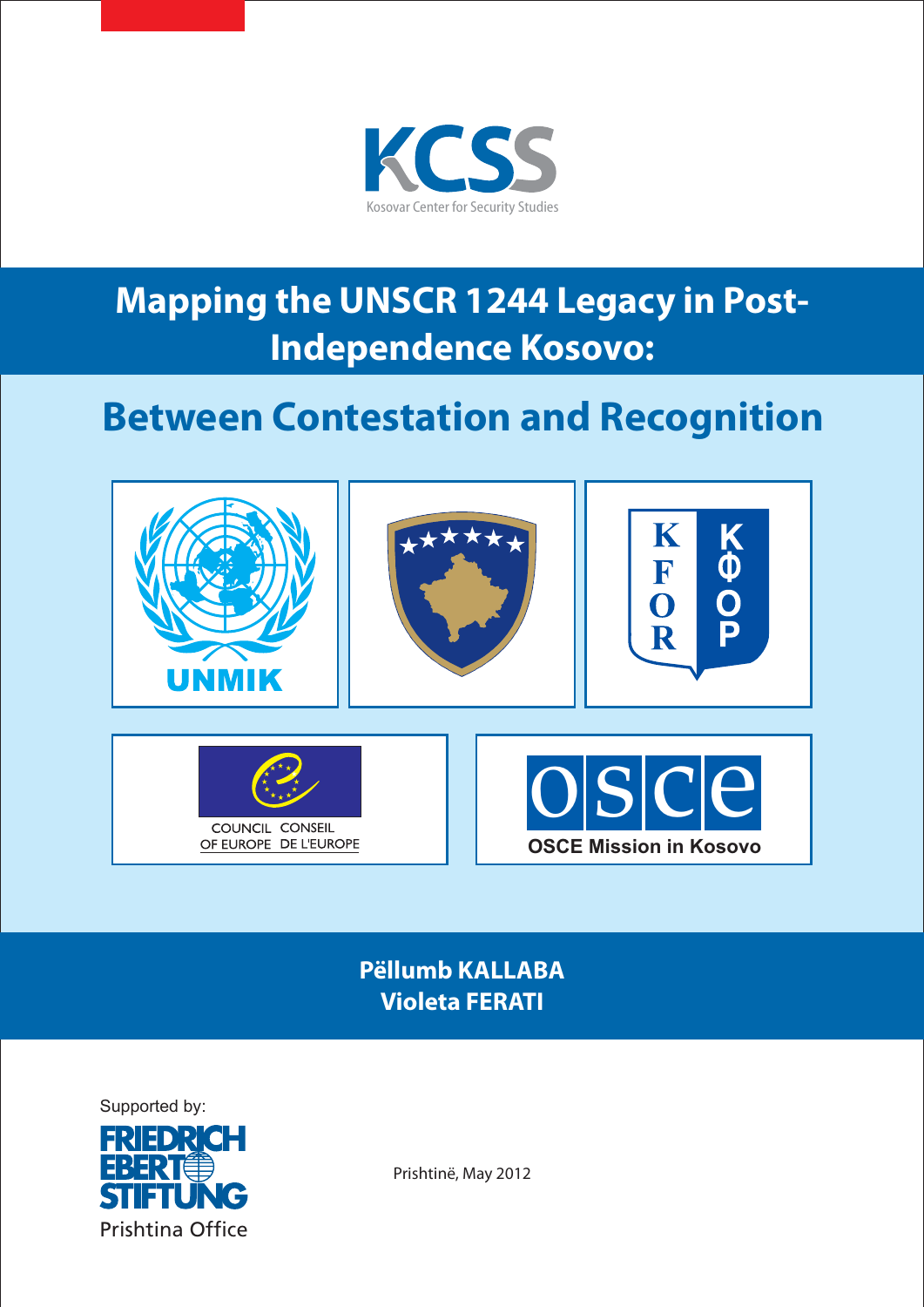

# **Mapping the UNSCR 1244 Legacy in Post-Independence Kosovo:**

# **Between Contestation and Recognition**



**Pëllumb KALLABA Violeta FERATI**



Prishtinë, May 2012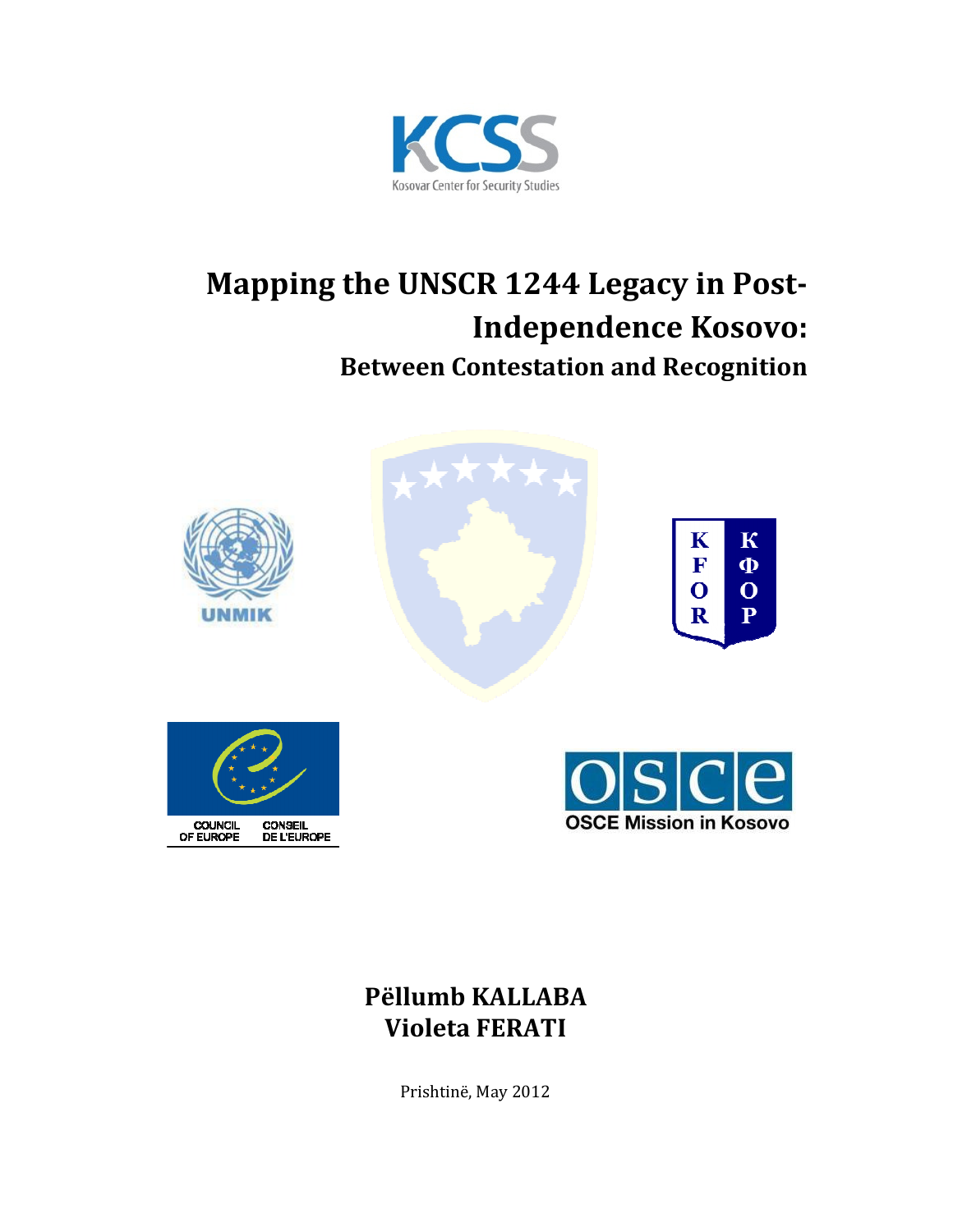

## Mapping the UNSCR 1244 Legacy in Post-Independence Kosovo: Between Contestation and Recognition











## Pëllumb KALLABA Violeta FERATI

Prishtinë, May 2012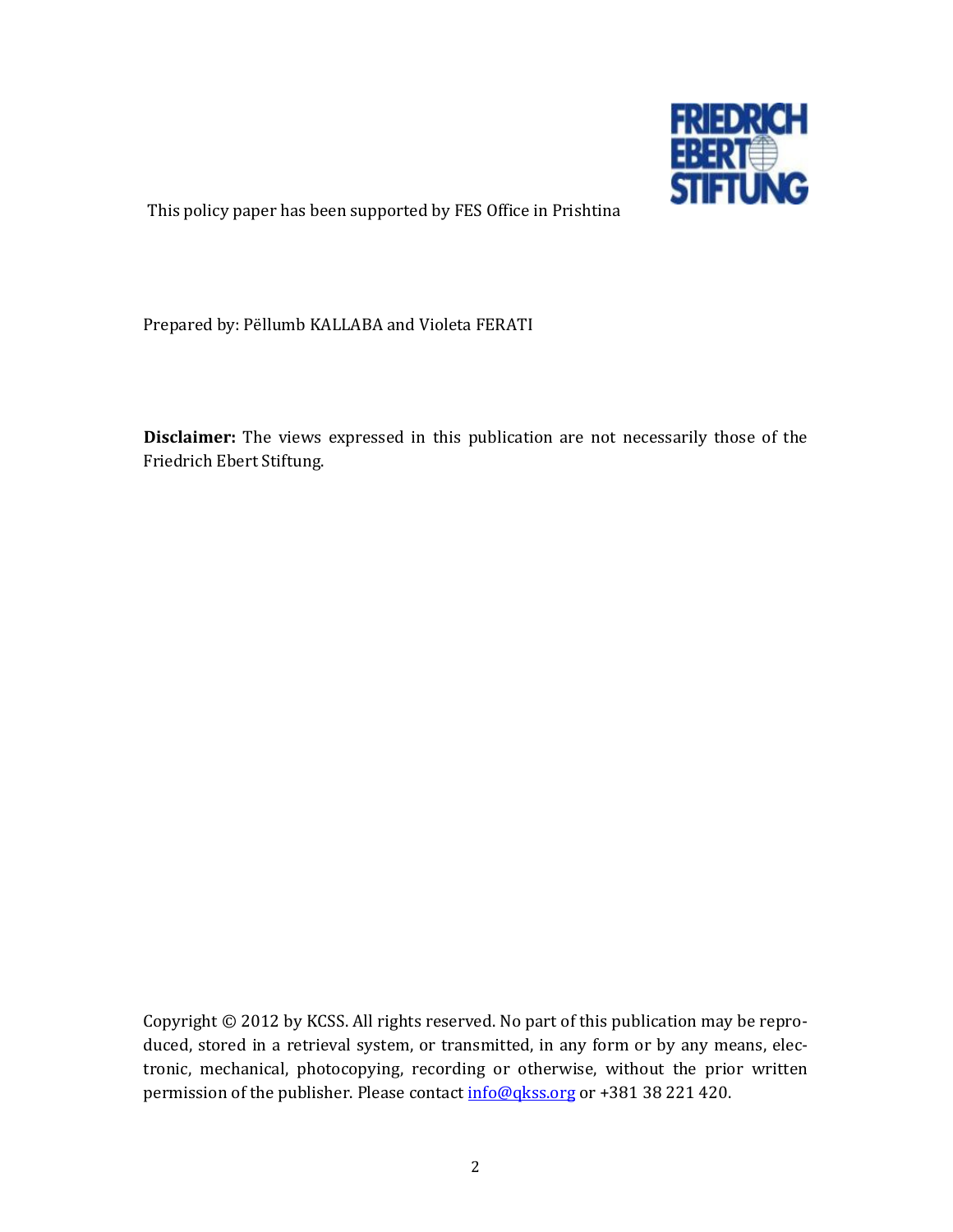

This policy paper has been supported by FES Office in Prishtina

Prepared by: Pëllumb KALLABA and Violeta FERATI

Disclaimer: The views expressed in this publication are not necessarily those of the Friedrich Ebert Stiftung.

Copyright © 2012 by KCSS. All rights reserved. No part of this publication may be reproduced, stored in a retrieval system, or transmitted, in any form or by any means, electronic, mechanical, photocopying, recording or otherwise, without the prior written permission of the publisher. Please contact info@qkss.org or +381 38 221 420.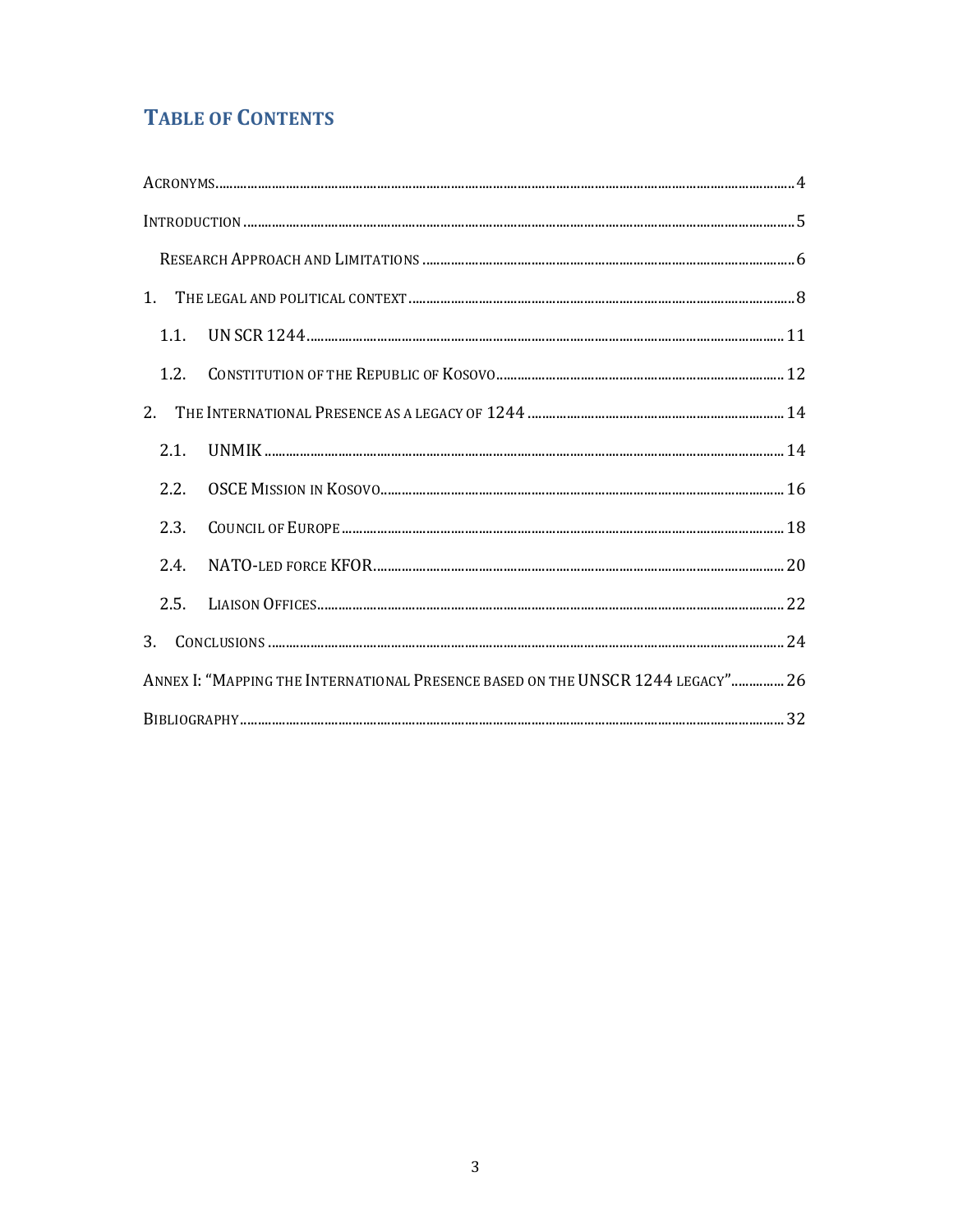## **TABLE OF CONTENTS**

|      | $I\text{NTRODUCTION} \text{} \text{} \\ 5$                                      |  |
|------|---------------------------------------------------------------------------------|--|
|      |                                                                                 |  |
|      |                                                                                 |  |
| 1.1. |                                                                                 |  |
|      |                                                                                 |  |
|      |                                                                                 |  |
| 2.1. |                                                                                 |  |
| 2.2. |                                                                                 |  |
| 2.3. |                                                                                 |  |
| 2.4. |                                                                                 |  |
|      |                                                                                 |  |
| 3.   |                                                                                 |  |
|      | ANNEX I: "MAPPING THE INTERNATIONAL PRESENCE BASED ON THE UNSCR 1244 LEGACY" 26 |  |
|      |                                                                                 |  |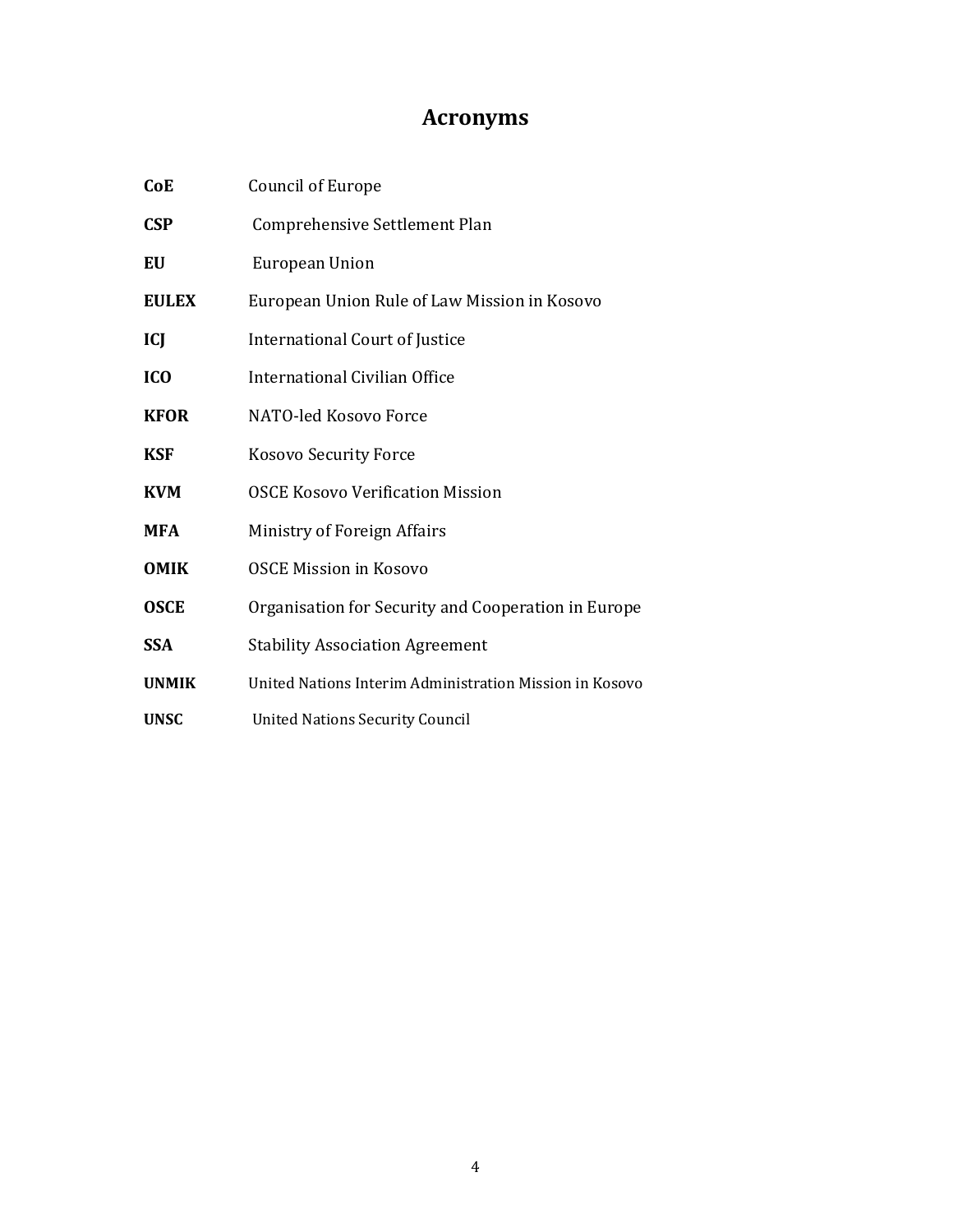## Acronyms

| <b>CoE</b>      | Council of Europe                                       |
|-----------------|---------------------------------------------------------|
| <b>CSP</b>      | Comprehensive Settlement Plan                           |
| EU              | European Union                                          |
| <b>EULEX</b>    | European Union Rule of Law Mission in Kosovo            |
| <b>ICJ</b>      | International Court of Justice                          |
| IC <sub>O</sub> | International Civilian Office                           |
| <b>KFOR</b>     | NATO-led Kosovo Force                                   |
| <b>KSF</b>      | <b>Kosovo Security Force</b>                            |
| <b>KVM</b>      | <b>OSCE Kosovo Verification Mission</b>                 |
| <b>MFA</b>      | Ministry of Foreign Affairs                             |
| <b>OMIK</b>     | <b>OSCE Mission in Kosovo</b>                           |
| <b>OSCE</b>     | Organisation for Security and Cooperation in Europe     |
| <b>SSA</b>      | <b>Stability Association Agreement</b>                  |
| <b>UNMIK</b>    | United Nations Interim Administration Mission in Kosovo |
| <b>UNSC</b>     | <b>United Nations Security Council</b>                  |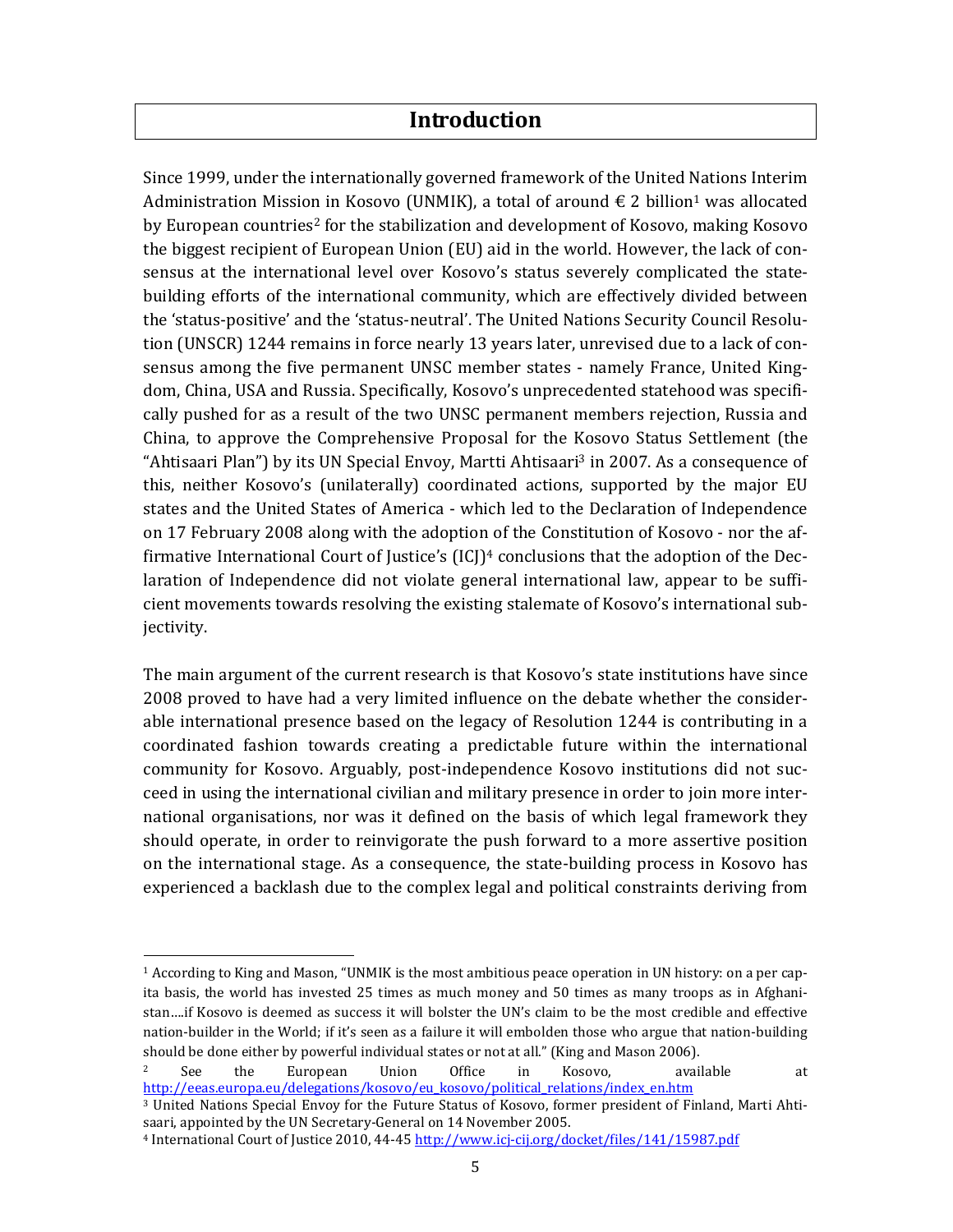#### Introduction

Since 1999, under the internationally governed framework of the United Nations Interim Administration Mission in Kosovo (UNMIK), a total of around  $\epsilon$  2 billion<sup>1</sup> was allocated by European countries2 for the stabilization and development of Kosovo, making Kosovo the biggest recipient of European Union (EU) aid in the world. However, the lack of consensus at the international level over Kosovo's status severely complicated the statebuilding efforts of the international community, which are effectively divided between the 'status-positive' and the 'status-neutral'. The United Nations Security Council Resolution (UNSCR) 1244 remains in force nearly 13 years later, unrevised due to a lack of consensus among the five permanent UNSC member states - namely France, United Kingdom, China, USA and Russia. Specifically, Kosovo's unprecedented statehood was specifically pushed for as a result of the two UNSC permanent members rejection, Russia and China, to approve the Comprehensive Proposal for the Kosovo Status Settlement (the "Ahtisaari Plan") by its UN Special Envoy, Martti Ahtisaari<sup>3</sup> in 2007. As a consequence of this, neither Kosovo's (unilaterally) coordinated actions, supported by the major EU states and the United States of America - which led to the Declaration of Independence on 17 February 2008 along with the adoption of the Constitution of Kosovo - nor the affirmative International Court of Justice's (ICJ)<sup>4</sup> conclusions that the adoption of the Declaration of Independence did not violate general international law, appear to be sufficient movements towards resolving the existing stalemate of Kosovo's international subjectivity.

The main argument of the current research is that Kosovo's state institutions have since 2008 proved to have had a very limited influence on the debate whether the considerable international presence based on the legacy of Resolution 1244 is contributing in a coordinated fashion towards creating a predictable future within the international community for Kosovo. Arguably, post-independence Kosovo institutions did not succeed in using the international civilian and military presence in order to join more international organisations, nor was it defined on the basis of which legal framework they should operate, in order to reinvigorate the push forward to a more assertive position on the international stage. As a consequence, the state-building process in Kosovo has experienced a backlash due to the complex legal and political constraints deriving from

<sup>1</sup> According to King and Mason, "UNMIK is the most ambitious peace operation in UN history: on a per capita basis, the world has invested 25 times as much money and 50 times as many troops as in Afghanistan….if Kosovo is deemed as success it will bolster the UN's claim to be the most credible and effective nation-builder in the World; if it's seen as a failure it will embolden those who argue that nation-building should be done either by powerful individual states or not at all." (King and Mason 2006).

 $2^2$  See the European Union Office in Kosovo, available at http://eeas.europa.eu/delegations/kosovo/eu\_kosovo/political\_relations/index\_en.htm

<sup>3</sup> United Nations Special Envoy for the Future Status of Kosovo, former president of Finland, Marti Ahtisaari, appointed by the UN Secretary-General on 14 November 2005.

<sup>4</sup> International Court of Justice 2010, 44-45 http://www.icj-cij.org/docket/files/141/15987.pdf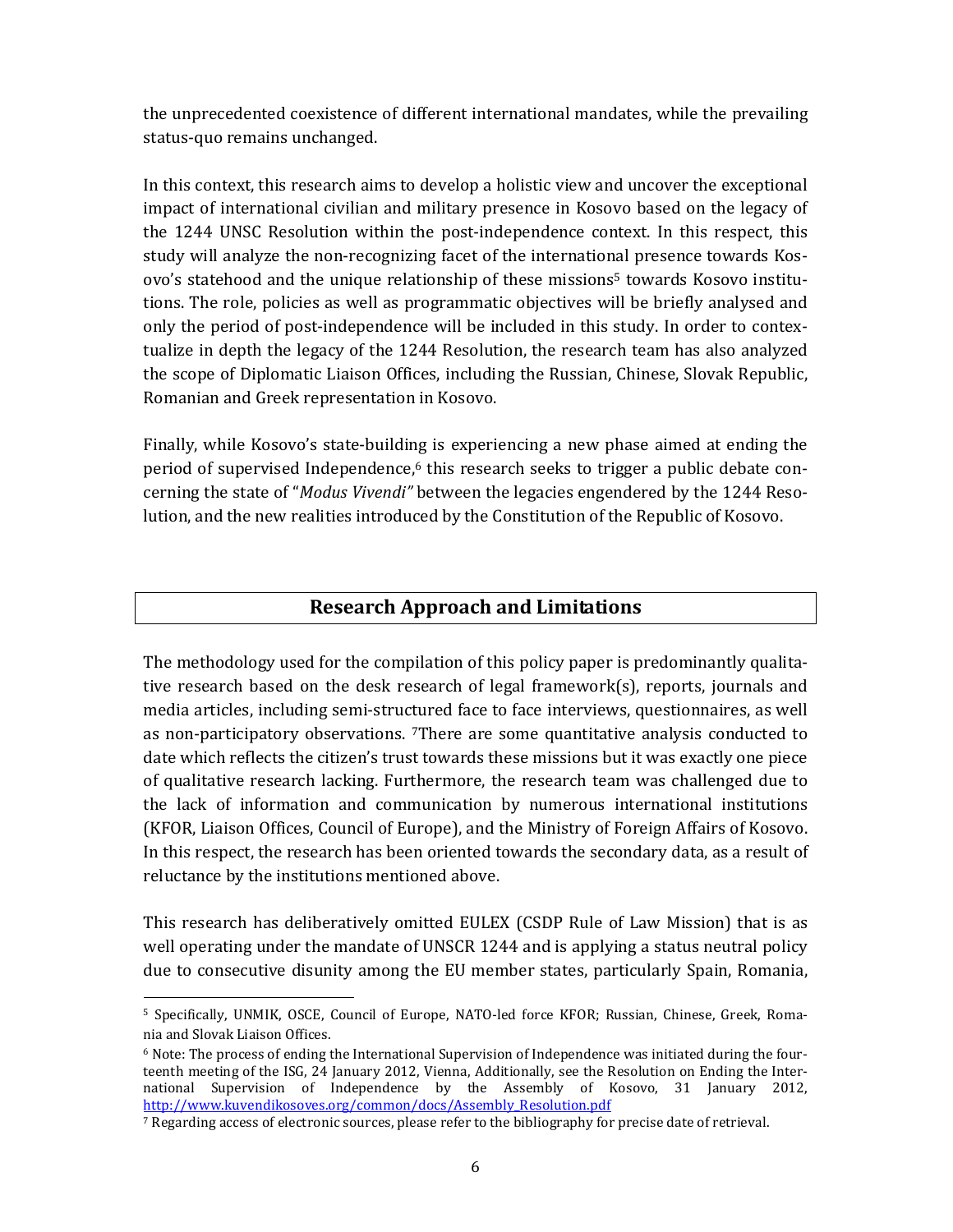the unprecedented coexistence of different international mandates, while the prevailing status-quo remains unchanged.

In this context, this research aims to develop a holistic view and uncover the exceptional impact of international civilian and military presence in Kosovo based on the legacy of the 1244 UNSC Resolution within the post-independence context. In this respect, this study will analyze the non-recognizing facet of the international presence towards Kosovo's statehood and the unique relationship of these missions5 towards Kosovo institutions. The role, policies as well as programmatic objectives will be briefly analysed and only the period of post-independence will be included in this study. In order to contextualize in depth the legacy of the 1244 Resolution, the research team has also analyzed the scope of Diplomatic Liaison Offices, including the Russian, Chinese, Slovak Republic, Romanian and Greek representation in Kosovo.

Finally, while Kosovo's state-building is experiencing a new phase aimed at ending the period of supervised Independence,<sup>6</sup> this research seeks to trigger a public debate concerning the state of "Modus Vivendi" between the legacies engendered by the 1244 Resolution, and the new realities introduced by the Constitution of the Republic of Kosovo.

#### Research Approach and Limitations

The methodology used for the compilation of this policy paper is predominantly qualitative research based on the desk research of legal framework(s), reports, journals and media articles, including semi-structured face to face interviews, questionnaires, as well as non-participatory observations. 7There are some quantitative analysis conducted to date which reflects the citizen's trust towards these missions but it was exactly one piece of qualitative research lacking. Furthermore, the research team was challenged due to the lack of information and communication by numerous international institutions (KFOR, Liaison Offices, Council of Europe), and the Ministry of Foreign Affairs of Kosovo. In this respect, the research has been oriented towards the secondary data, as a result of reluctance by the institutions mentioned above.

This research has deliberatively omitted EULEX (CSDP Rule of Law Mission) that is as well operating under the mandate of UNSCR 1244 and is applying a status neutral policy due to consecutive disunity among the EU member states, particularly Spain, Romania,

<sup>5</sup> Specifically, UNMIK, OSCE, Council of Europe, NATO-led force KFOR; Russian, Chinese, Greek, Romania and Slovak Liaison Offices.

<sup>6</sup> Note: The process of ending the International Supervision of Independence was initiated during the fourteenth meeting of the ISG, 24 January 2012, Vienna, Additionally, see the Resolution on Ending the International Supervision of Independence by the Assembly of Kosovo, 31 January 2012, http://www.kuvendikosoves.org/common/docs/Assembly\_Resolution.pdf

<sup>7</sup> Regarding access of electronic sources, please refer to the bibliography for precise date of retrieval.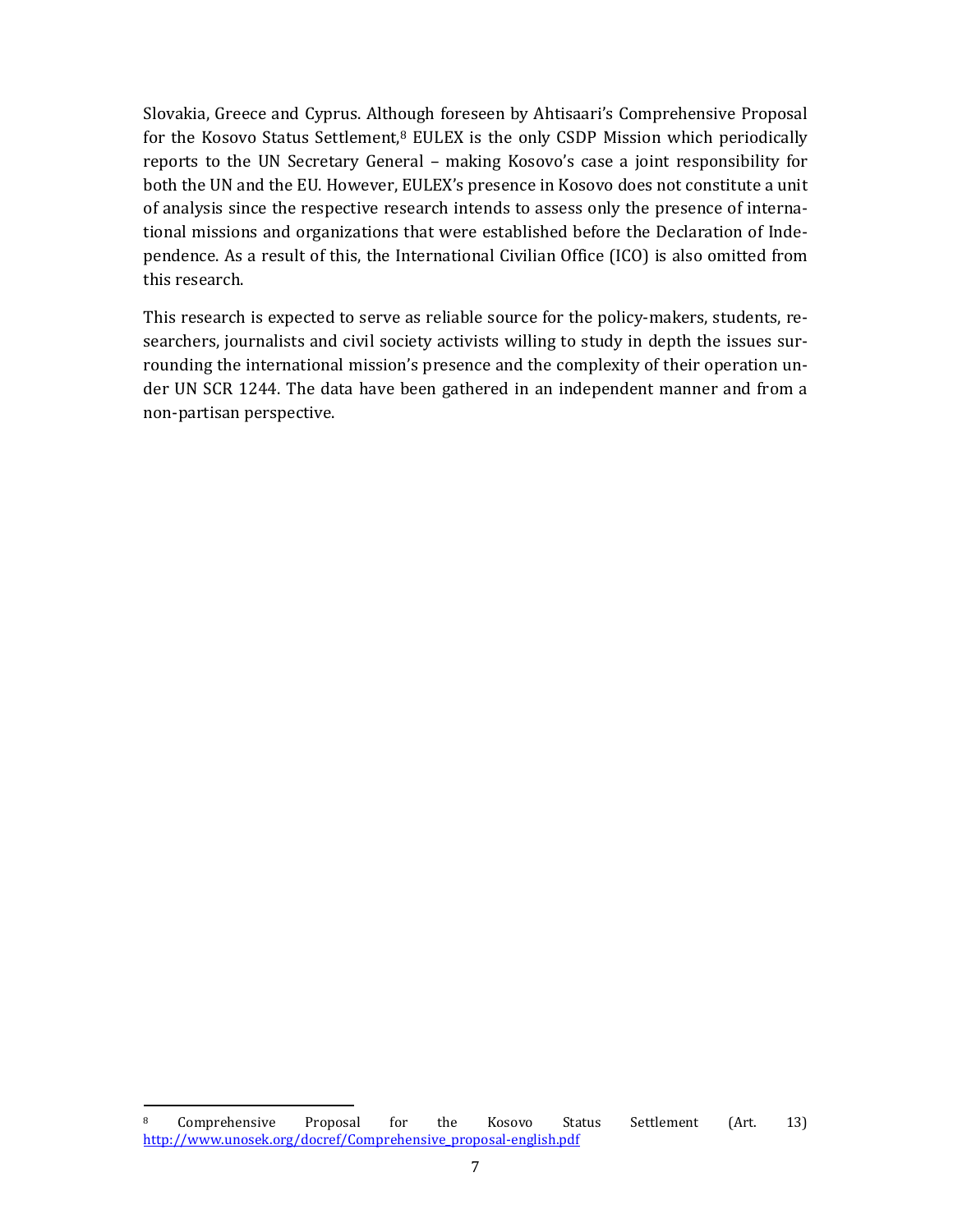Slovakia, Greece and Cyprus. Although foreseen by Ahtisaari's Comprehensive Proposal for the Kosovo Status Settlement,<sup>8</sup> EULEX is the only CSDP Mission which periodically reports to the UN Secretary General – making Kosovo's case a joint responsibility for both the UN and the EU. However, EULEX's presence in Kosovo does not constitute a unit of analysis since the respective research intends to assess only the presence of international missions and organizations that were established before the Declaration of Independence. As a result of this, the International Civilian Office (ICO) is also omitted from this research.

This research is expected to serve as reliable source for the policy-makers, students, researchers, journalists and civil society activists willing to study in depth the issues surrounding the international mission's presence and the complexity of their operation under UN SCR 1244. The data have been gathered in an independent manner and from a non-partisan perspective.

<sup>8</sup> Comprehensive Proposal for the Kosovo Status Settlement (Art. 13) http://www.unosek.org/docref/Comprehensive\_proposal-english.pdf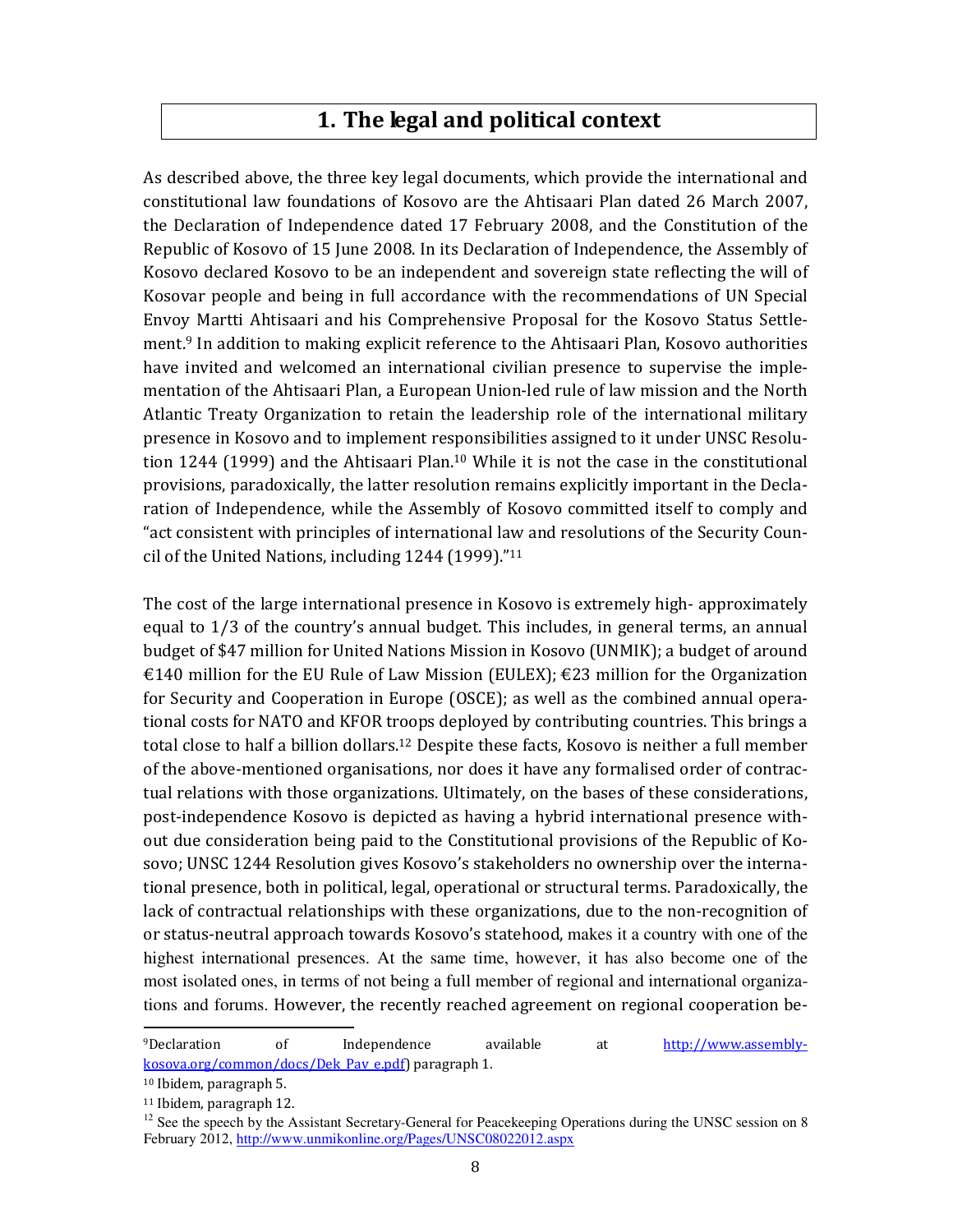#### 1. The legal and political context

As described above, the three key legal documents, which provide the international and constitutional law foundations of Kosovo are the Ahtisaari Plan dated 26 March 2007, the Declaration of Independence dated 17 February 2008, and the Constitution of the Republic of Kosovo of 15 June 2008. In its Declaration of Independence, the Assembly of Kosovo declared Kosovo to be an independent and sovereign state reflecting the will of Kosovar people and being in full accordance with the recommendations of UN Special Envoy Martti Ahtisaari and his Comprehensive Proposal for the Kosovo Status Settlement.<sup>9</sup> In addition to making explicit reference to the Ahtisaari Plan, Kosovo authorities have invited and welcomed an international civilian presence to supervise the implementation of the Ahtisaari Plan, a European Union-led rule of law mission and the North Atlantic Treaty Organization to retain the leadership role of the international military presence in Kosovo and to implement responsibilities assigned to it under UNSC Resolution 1244 (1999) and the Ahtisaari Plan.<sup>10</sup> While it is not the case in the constitutional provisions, paradoxically, the latter resolution remains explicitly important in the Declaration of Independence, while the Assembly of Kosovo committed itself to comply and "act consistent with principles of international law and resolutions of the Security Council of the United Nations, including 1244 (1999)."<sup>11</sup>

The cost of the large international presence in Kosovo is extremely high- approximately equal to 1/3 of the country's annual budget. This includes, in general terms, an annual budget of \$47 million for United Nations Mission in Kosovo (UNMIK); a budget of around €140 million for the EU Rule of Law Mission (EULEX);  $€23$  million for the Organization for Security and Cooperation in Europe (OSCE); as well as the combined annual operational costs for NATO and KFOR troops deployed by contributing countries. This brings a total close to half a billion dollars.12 Despite these facts, Kosovo is neither a full member of the above-mentioned organisations, nor does it have any formalised order of contractual relations with those organizations. Ultimately, on the bases of these considerations, post-independence Kosovo is depicted as having a hybrid international presence without due consideration being paid to the Constitutional provisions of the Republic of Kosovo; UNSC 1244 Resolution gives Kosovo's stakeholders no ownership over the international presence, both in political, legal, operational or structural terms. Paradoxically, the lack of contractual relationships with these organizations, due to the non-recognition of or status-neutral approach towards Kosovo's statehood, makes it a country with one of the highest international presences. At the same time, however, it has also become one of the most isolated ones, in terms of not being a full member of regional and international organizations and forums. However, the recently reached agreement on regional cooperation be-  $\overline{a}$ 

<sup>9</sup>Declaration of Independence available at http://www.assemblykosova.org/common/docs/Dek\_Pav\_e.pdf) paragraph 1.

<sup>10</sup> Ibidem, paragraph 5.

<sup>11</sup> Ibidem, paragraph 12.

<sup>&</sup>lt;sup>12</sup> See the speech by the Assistant Secretary-General for Peacekeeping Operations during the UNSC session on 8 February 2012, http://www.unmikonline.org/Pages/UNSC08022012.aspx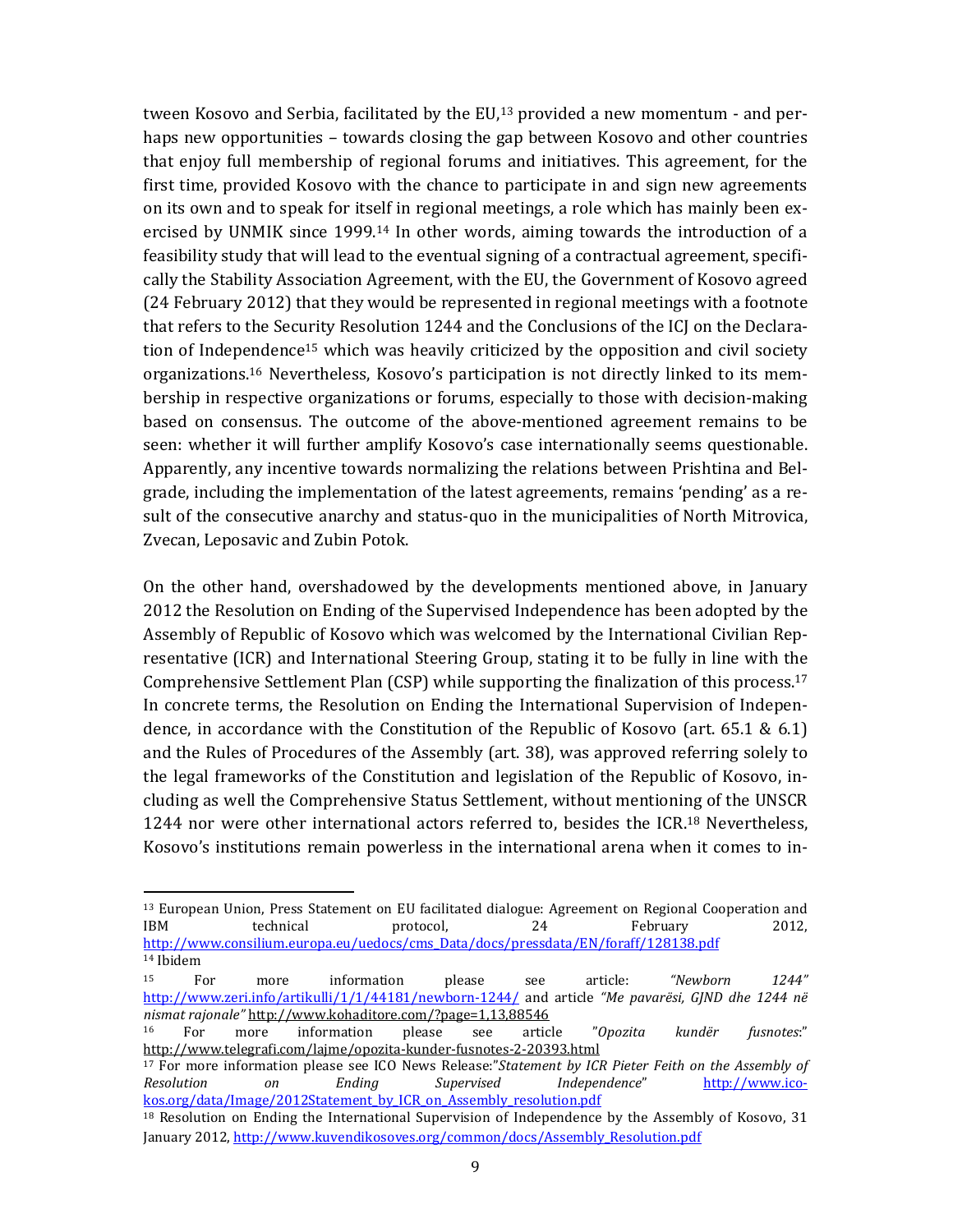tween Kosovo and Serbia, facilitated by the EU,<sup>13</sup> provided a new momentum - and perhaps new opportunities – towards closing the gap between Kosovo and other countries that enjoy full membership of regional forums and initiatives. This agreement, for the first time, provided Kosovo with the chance to participate in and sign new agreements on its own and to speak for itself in regional meetings, a role which has mainly been exercised by UNMIK since 1999.<sup>14</sup> In other words, aiming towards the introduction of a feasibility study that will lead to the eventual signing of a contractual agreement, specifically the Stability Association Agreement, with the EU, the Government of Kosovo agreed (24 February 2012) that they would be represented in regional meetings with a footnote that refers to the Security Resolution 1244 and the Conclusions of the ICJ on the Declaration of Independence<sup>15</sup> which was heavily criticized by the opposition and civil society organizations.16 Nevertheless, Kosovo's participation is not directly linked to its membership in respective organizations or forums, especially to those with decision-making based on consensus. The outcome of the above-mentioned agreement remains to be seen: whether it will further amplify Kosovo's case internationally seems questionable. Apparently, any incentive towards normalizing the relations between Prishtina and Belgrade, including the implementation of the latest agreements, remains 'pending' as a result of the consecutive anarchy and status-quo in the municipalities of North Mitrovica, Zvecan, Leposavic and Zubin Potok.

On the other hand, overshadowed by the developments mentioned above, in January 2012 the Resolution on Ending of the Supervised Independence has been adopted by the Assembly of Republic of Kosovo which was welcomed by the International Civilian Representative (ICR) and International Steering Group, stating it to be fully in line with the Comprehensive Settlement Plan (CSP) while supporting the finalization of this process.<sup>17</sup> In concrete terms, the Resolution on Ending the International Supervision of Independence, in accordance with the Constitution of the Republic of Kosovo (art. 65.1 & 6.1) and the Rules of Procedures of the Assembly (art. 38), was approved referring solely to the legal frameworks of the Constitution and legislation of the Republic of Kosovo, including as well the Comprehensive Status Settlement, without mentioning of the UNSCR 1244 nor were other international actors referred to, besides the ICR.18 Nevertheless, Kosovo's institutions remain powerless in the international arena when it comes to in-

<sup>&</sup>lt;sup>13</sup> European Union, Press Statement on EU facilitated dialogue: Agreement on Regional Cooperation and IBM technical protocol, 24 February 2012. IBM technical protocol, 24 February 2012, http://www.consilium.europa.eu/uedocs/cms\_Data/docs/pressdata/EN/foraff/128138.pdf <sup>14</sup> Ibidem

<sup>15</sup> For more information please see article: "Newborn 1244" http://www.zeri.info/artikulli/1/1/44181/newborn-1244/ and article "Me pavarësi, GJND dhe 1244 në nismat rajonale" http://www.kohaditore.com/?page=1,13,88546

<sup>16</sup> For more information please see article "Opozita kundër fusnotes:" http://www.telegrafi.com/lajme/opozita-kunder-fusnotes-2-20393.html

<sup>&</sup>lt;sup>17</sup> For more information please see ICO News Release:"Statement by ICR Pieter Feith on the Assembly of Resolution on Ending Supervised Independence" http://www.icokos.org/data/Image/2012Statement\_by\_ICR\_on\_Assembly\_resolution.pdf

<sup>18</sup> Resolution on Ending the International Supervision of Independence by the Assembly of Kosovo, 31 January 2012, http://www.kuvendikosoves.org/common/docs/Assembly\_Resolution.pdf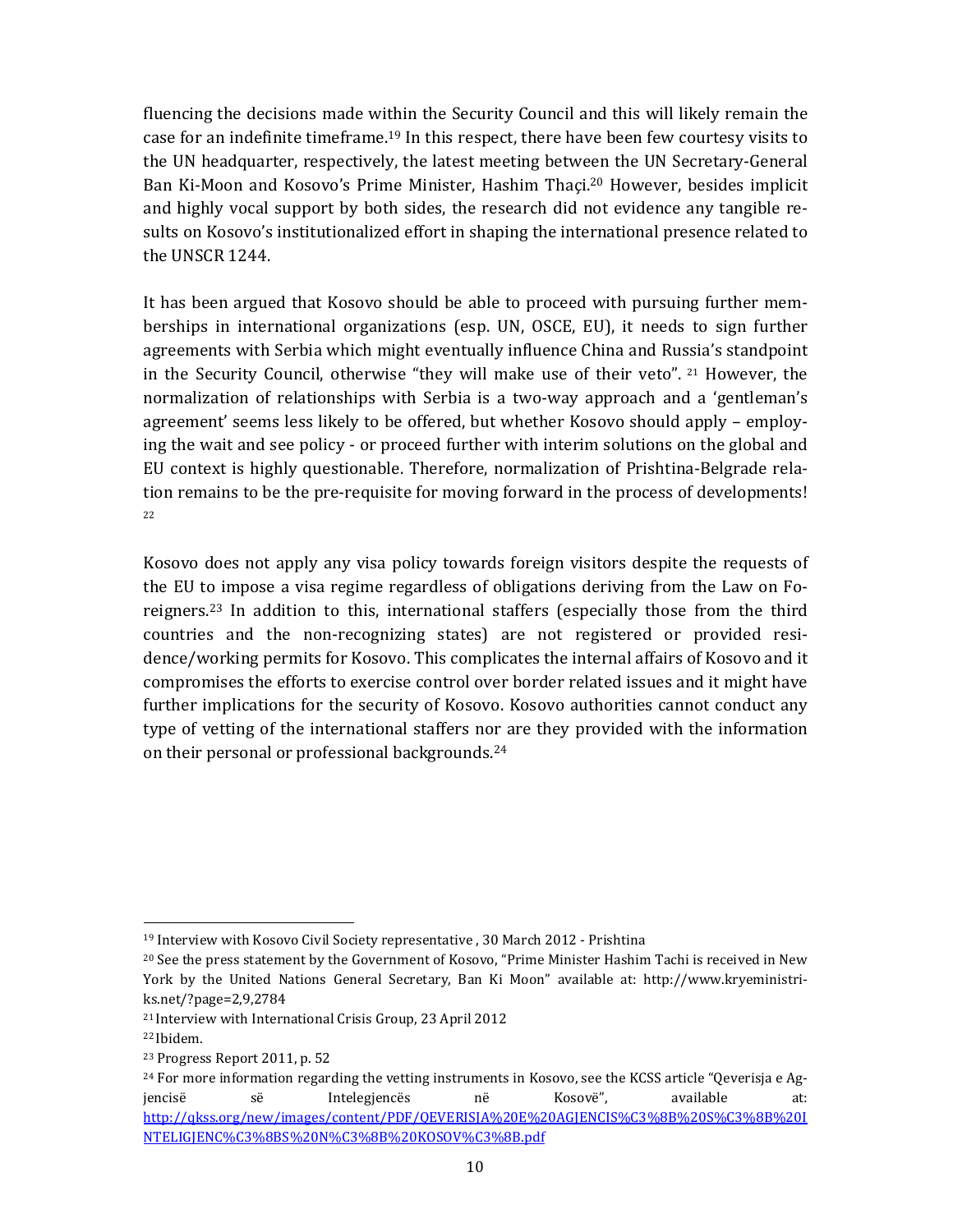fluencing the decisions made within the Security Council and this will likely remain the case for an indefinite timeframe.19 In this respect, there have been few courtesy visits to the UN headquarter, respectively, the latest meeting between the UN Secretary-General Ban Ki-Moon and Kosovo's Prime Minister, Hashim Thaçi.<sup>20</sup> However, besides implicit and highly vocal support by both sides, the research did not evidence any tangible results on Kosovo's institutionalized effort in shaping the international presence related to the UNSCR 1244.

It has been argued that Kosovo should be able to proceed with pursuing further memberships in international organizations (esp. UN, OSCE, EU), it needs to sign further agreements with Serbia which might eventually influence China and Russia's standpoint in the Security Council, otherwise "they will make use of their veto". 21 However, the normalization of relationships with Serbia is a two-way approach and a 'gentleman's agreement' seems less likely to be offered, but whether Kosovo should apply – employing the wait and see policy - or proceed further with interim solutions on the global and EU context is highly questionable. Therefore, normalization of Prishtina-Belgrade relation remains to be the pre-requisite for moving forward in the process of developments!  $22$ 

Kosovo does not apply any visa policy towards foreign visitors despite the requests of the EU to impose a visa regime regardless of obligations deriving from the Law on Foreigners.23 In addition to this, international staffers (especially those from the third countries and the non-recognizing states) are not registered or provided residence/working permits for Kosovo. This complicates the internal affairs of Kosovo and it compromises the efforts to exercise control over border related issues and it might have further implications for the security of Kosovo. Kosovo authorities cannot conduct any type of vetting of the international staffers nor are they provided with the information on their personal or professional backgrounds.<sup>24</sup>

<sup>19</sup> Interview with Kosovo Civil Society representative , 30 March 2012 - Prishtina

<sup>20</sup> See the press statement by the Government of Kosovo, "Prime Minister Hashim Tachi is received in New York by the United Nations General Secretary, Ban Ki Moon" available at: http://www.kryeministriks.net/?page=2,9,2784

<sup>21</sup>Interview with International Crisis Group, 23 April 2012

<sup>22</sup>Ibidem.

<sup>23</sup> Progress Report 2011, p. 52

<sup>&</sup>lt;sup>24</sup> For more information regarding the vetting instruments in Kosovo, see the KCSS article "Qeverisja e Agjencisë së Intelegjencës në Kosovë", available at: http://qkss.org/new/images/content/PDF/QEVERISJA%20E%20AGJENCIS%C3%8B%20S%C3%8B%20I NTELIGJENC%C3%8BS%20N%C3%8B%20KOSOV%C3%8B.pdf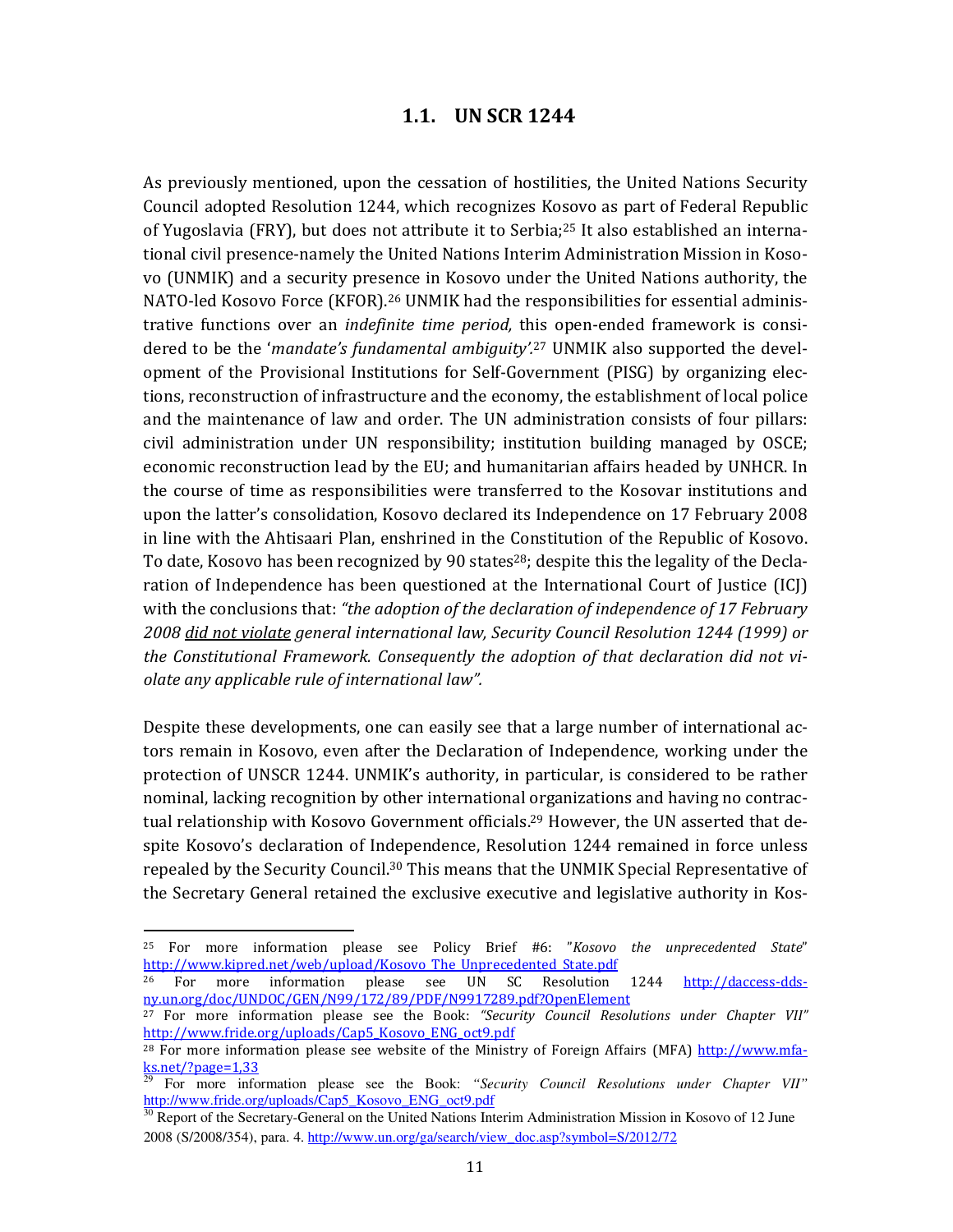#### 1.1. UN SCR 1244

As previously mentioned, upon the cessation of hostilities, the United Nations Security Council adopted Resolution 1244, which recognizes Kosovo as part of Federal Republic of Yugoslavia (FRY), but does not attribute it to Serbia;25 It also established an international civil presence-namely the United Nations Interim Administration Mission in Kosovo (UNMIK) and a security presence in Kosovo under the United Nations authority, the NATO-led Kosovo Force (KFOR).26 UNMIK had the responsibilities for essential administrative functions over an indefinite time period, this open-ended framework is considered to be the 'mandate's fundamental ambiguity'.<sup>27</sup> UNMIK also supported the development of the Provisional Institutions for Self-Government (PISG) by organizing elections, reconstruction of infrastructure and the economy, the establishment of local police and the maintenance of law and order. The UN administration consists of four pillars: civil administration under UN responsibility; institution building managed by OSCE; economic reconstruction lead by the EU; and humanitarian affairs headed by UNHCR. In the course of time as responsibilities were transferred to the Kosovar institutions and upon the latter's consolidation, Kosovo declared its Independence on 17 February 2008 in line with the Ahtisaari Plan, enshrined in the Constitution of the Republic of Kosovo. To date, Kosovo has been recognized by 90 states<sup>28</sup>; despite this the legality of the Declaration of Independence has been questioned at the International Court of Justice (ICJ) with the conclusions that: "the adoption of the declaration of independence of 17 February 2008 did not violate general international law, Security Council Resolution 1244 (1999) or the Constitutional Framework. Consequently the adoption of that declaration did not violate any applicable rule of international law".

Despite these developments, one can easily see that a large number of international actors remain in Kosovo, even after the Declaration of Independence, working under the protection of UNSCR 1244. UNMIK's authority, in particular, is considered to be rather nominal, lacking recognition by other international organizations and having no contractual relationship with Kosovo Government officials.<sup>29</sup> However, the UN asserted that despite Kosovo's declaration of Independence, Resolution 1244 remained in force unless repealed by the Security Council.<sup>30</sup> This means that the UNMIK Special Representative of the Secretary General retained the exclusive executive and legislative authority in Kos-

<sup>25</sup> For more information please see Policy Brief #6: "Kosovo the unprecedented State" http://www.kipred.net/web/upload/Kosovo\_The\_Unprecedented\_State.pdf

<sup>&</sup>lt;sup>26</sup> For more information please see UN SC Resolution 1244 http://daccess-ddsny.un.org/doc/UNDOC/GEN/N99/172/89/PDF/N9917289.pdf?OpenElement

<sup>&</sup>lt;sup>27</sup> For more information please see the Book: "Security Council Resolutions under Chapter VII" http://www.fride.org/uploads/Cap5\_Kosovo\_ENG\_oct9.pdf

<sup>&</sup>lt;sup>28</sup> For more information please see website of the Ministry of Foreign Affairs (MFA) http://www.mfa- $\frac{\text{ks.net}}{29}$  Ressecting Ressection 2.33

<sup>29</sup> For more information please see the Book: *"Security Council Resolutions under Chapter VII"* http://www.fride.org/uploads/Cap5\_Kosovo\_ENG\_oct9.pdf

<sup>30</sup> Report of the Secretary-General on the United Nations Interim Administration Mission in Kosovo of 12 June 2008 (S/2008/354), para. 4. http://www.un.org/ga/search/view\_doc.asp?symbol=S/2012/72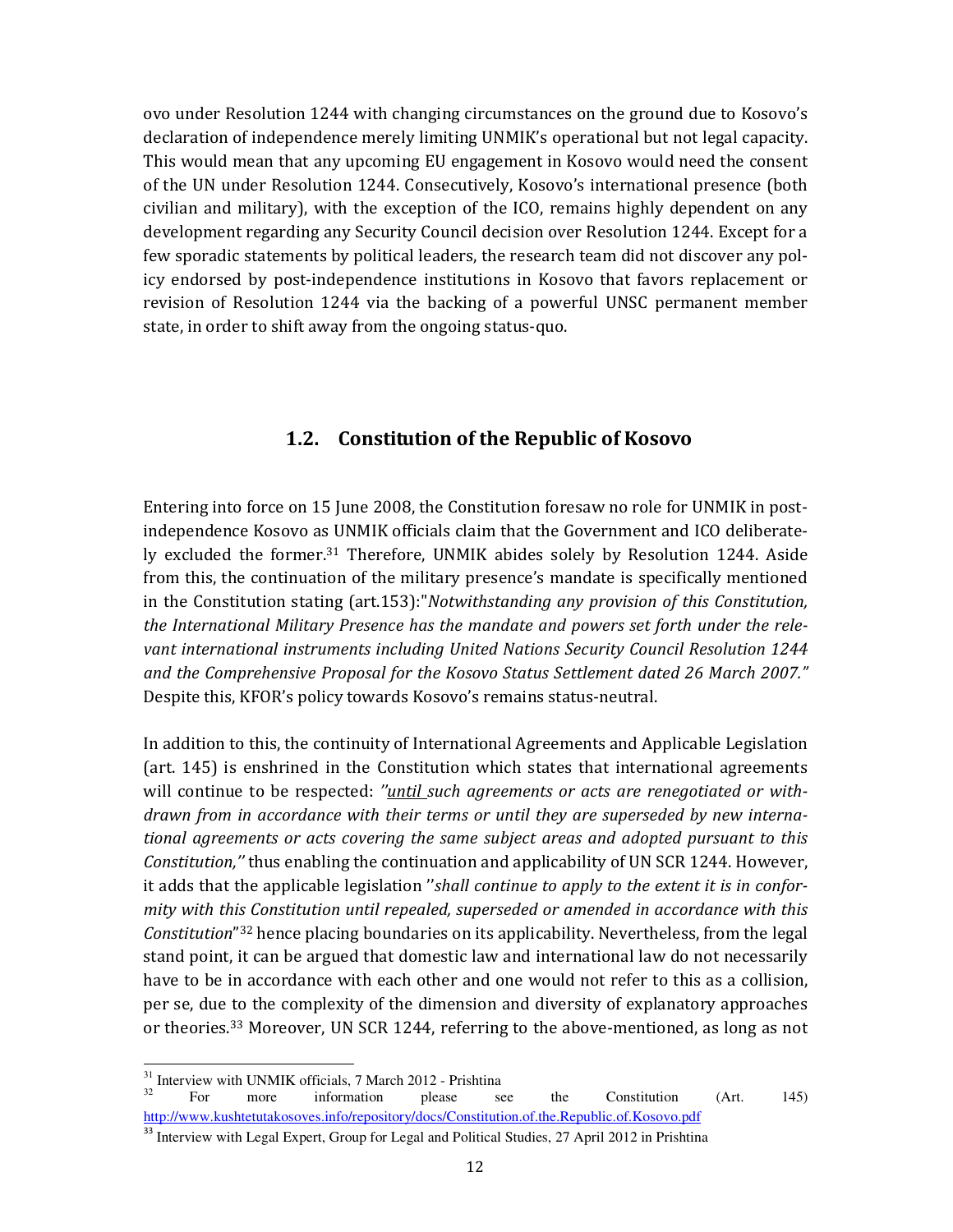ovo under Resolution 1244 with changing circumstances on the ground due to Kosovo's declaration of independence merely limiting UNMIK's operational but not legal capacity. This would mean that any upcoming EU engagement in Kosovo would need the consent of the UN under Resolution 1244. Consecutively, Kosovo's international presence (both civilian and military), with the exception of the ICO, remains highly dependent on any development regarding any Security Council decision over Resolution 1244. Except for a few sporadic statements by political leaders, the research team did not discover any policy endorsed by post-independence institutions in Kosovo that favors replacement or revision of Resolution 1244 via the backing of a powerful UNSC permanent member state, in order to shift away from the ongoing status-quo.

#### 1.2. Constitution of the Republic of Kosovo

Entering into force on 15 June 2008, the Constitution foresaw no role for UNMIK in postindependence Kosovo as UNMIK officials claim that the Government and ICO deliberately excluded the former.31 Therefore, UNMIK abides solely by Resolution 1244. Aside from this, the continuation of the military presence's mandate is specifically mentioned in the Constitution stating (art.153):"Notwithstanding any provision of this Constitution, the International Military Presence has the mandate and powers set forth under the relevant international instruments including United Nations Security Council Resolution 1244 and the Comprehensive Proposal for the Kosovo Status Settlement dated 26 March 2007." Despite this, KFOR's policy towards Kosovo's remains status-neutral.

In addition to this, the continuity of International Agreements and Applicable Legislation (art. 145) is enshrined in the Constitution which states that international agreements will continue to be respected: "until such agreements or acts are renegotiated or withdrawn from in accordance with their terms or until they are superseded by new international agreements or acts covering the same subject areas and adopted pursuant to this Constitution,'' thus enabling the continuation and applicability of UN SCR 1244. However, it adds that the applicable legislation "shall continue to apply to the extent it is in conformity with this Constitution until repealed, superseded or amended in accordance with this Constitution<sup>"32</sup> hence placing boundaries on its applicability. Nevertheless, from the legal stand point, it can be argued that domestic law and international law do not necessarily have to be in accordance with each other and one would not refer to this as a collision, per se, due to the complexity of the dimension and diversity of explanatory approaches or theories.<sup>33</sup> Moreover, UN SCR 1244, referring to the above-mentioned, as long as not

<sup>&</sup>lt;sup>31</sup> Interview with UNMIK officials, 7 March 2012 - Prishtina

 $32$  For more information please see the Constitution (Art. 145) http://www.kushtetutakosoves.info/repository/docs/Constitution.of.the.Republic.of.Kosovo.pdf

<sup>&</sup>lt;sup>33</sup> Interview with Legal Expert, Group for Legal and Political Studies, 27 April 2012 in Prishtina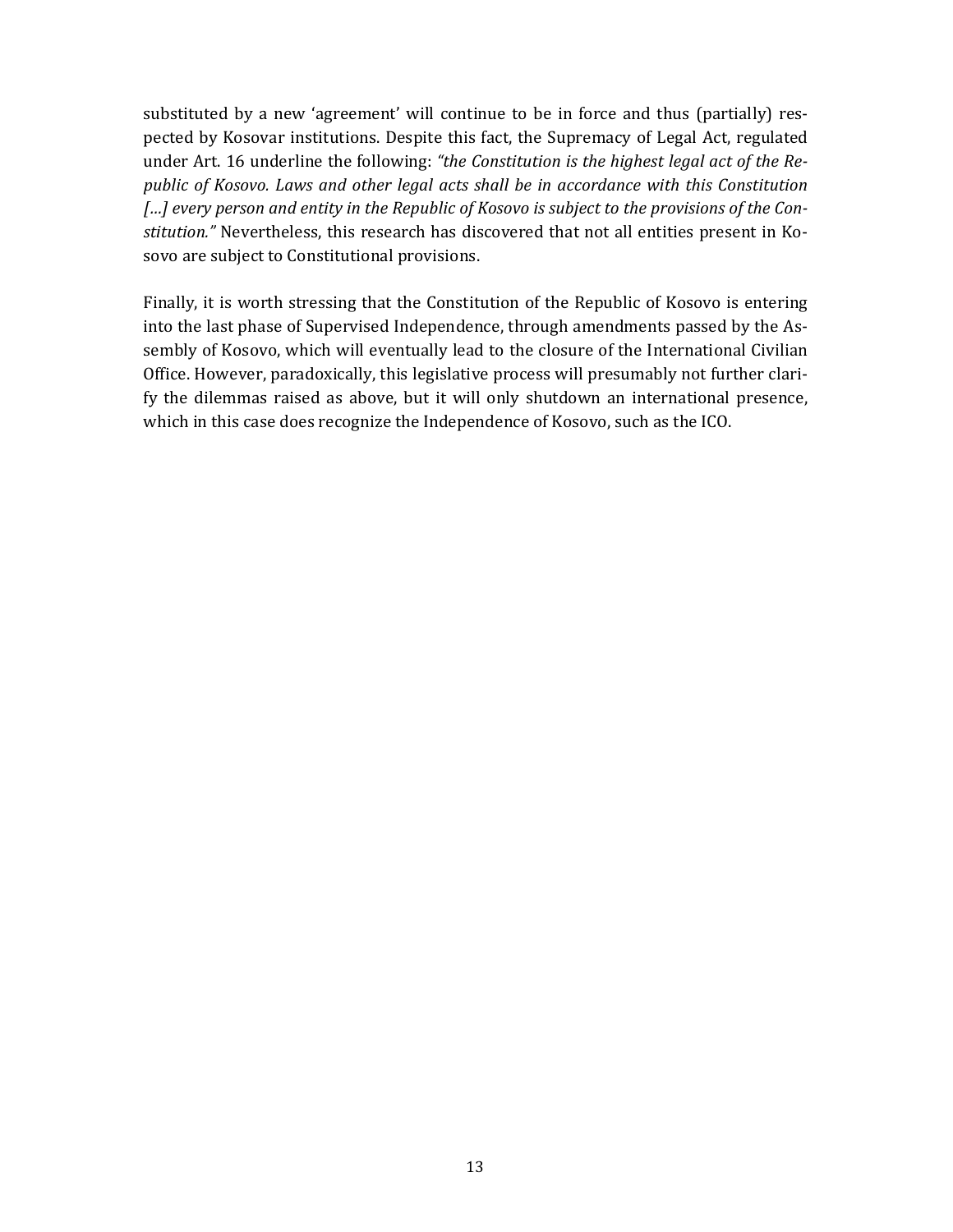substituted by a new 'agreement' will continue to be in force and thus (partially) respected by Kosovar institutions. Despite this fact, the Supremacy of Legal Act, regulated under Art. 16 underline the following: "the Constitution is the highest legal act of the Republic of Kosovo. Laws and other legal acts shall be in accordance with this Constitution [...] every person and entity in the Republic of Kosovo is subject to the provisions of the Constitution." Nevertheless, this research has discovered that not all entities present in Kosovo are subject to Constitutional provisions.

Finally, it is worth stressing that the Constitution of the Republic of Kosovo is entering into the last phase of Supervised Independence, through amendments passed by the Assembly of Kosovo, which will eventually lead to the closure of the International Civilian Office. However, paradoxically, this legislative process will presumably not further clarify the dilemmas raised as above, but it will only shutdown an international presence, which in this case does recognize the Independence of Kosovo, such as the ICO.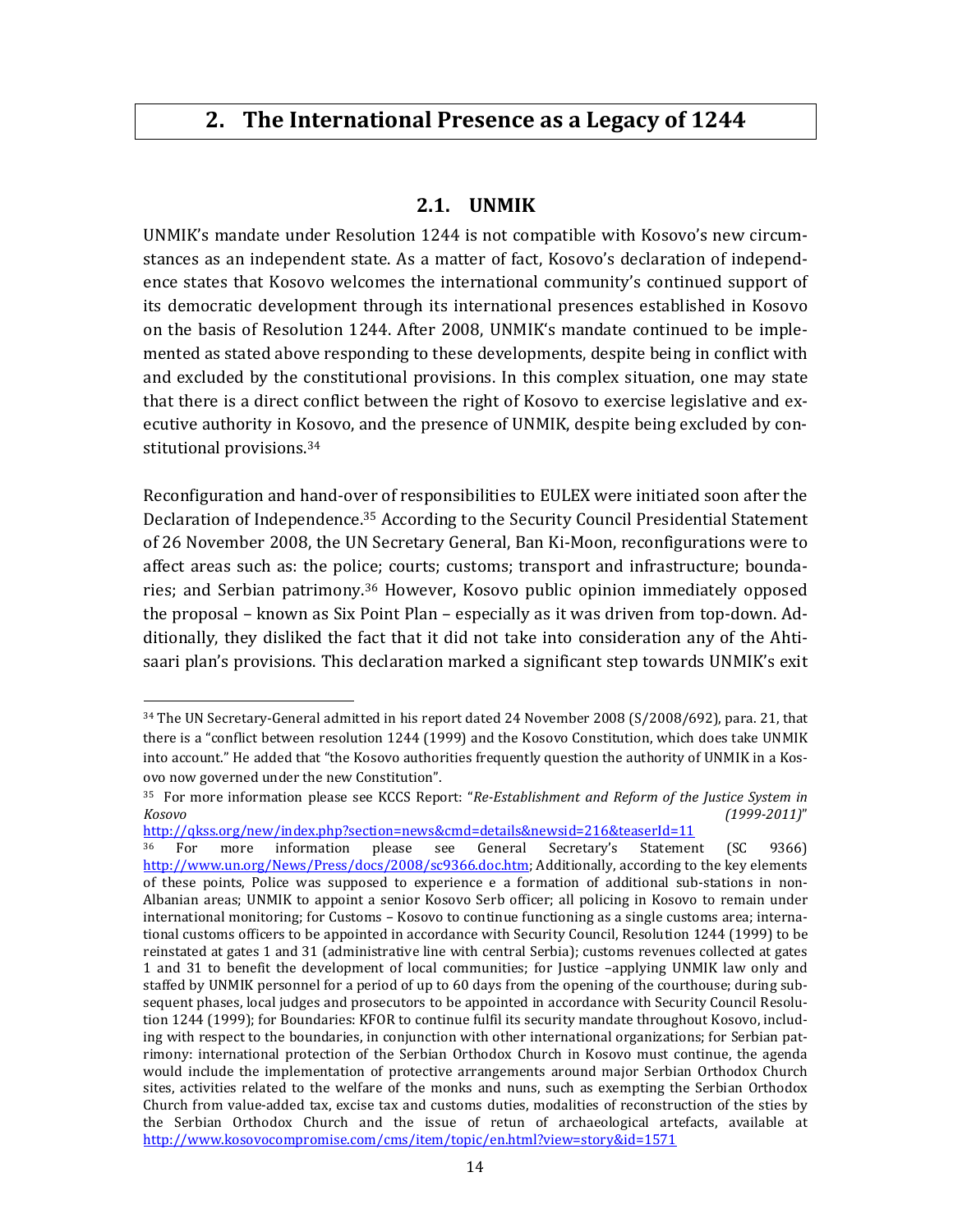#### 2. The International Presence as a Legacy of 1244

#### 2.1. UNMIK

UNMIK's mandate under Resolution 1244 is not compatible with Kosovo's new circumstances as an independent state. As a matter of fact, Kosovo's declaration of independence states that Kosovo welcomes the international community's continued support of its democratic development through its international presences established in Kosovo on the basis of Resolution 1244. After 2008, UNMIK's mandate continued to be implemented as stated above responding to these developments, despite being in conflict with and excluded by the constitutional provisions. In this complex situation, one may state that there is a direct conflict between the right of Kosovo to exercise legislative and executive authority in Kosovo, and the presence of UNMIK, despite being excluded by constitutional provisions.<sup>34</sup>

Reconfiguration and hand-over of responsibilities to EULEX were initiated soon after the Declaration of Independence.<sup>35</sup> According to the Security Council Presidential Statement of 26 November 2008, the UN Secretary General, Ban Ki-Moon, reconfigurations were to affect areas such as: the police; courts; customs; transport and infrastructure; boundaries; and Serbian patrimony.36 However, Kosovo public opinion immediately opposed the proposal – known as Six Point Plan – especially as it was driven from top-down. Additionally, they disliked the fact that it did not take into consideration any of the Ahtisaari plan's provisions. This declaration marked a significant step towards UNMIK's exit

http://qkss.org/new/index.php?section=news&cmd=details&newsid=216&teaserId=11<br><sup>36</sup> For more information please see General Secretary's Statemen

<sup>34</sup> The UN Secretary-General admitted in his report dated 24 November 2008 (S/2008/692), para. 21, that there is a "conflict between resolution 1244 (1999) and the Kosovo Constitution, which does take UNMIK into account." He added that "the Kosovo authorities frequently question the authority of UNMIK in a Kosovo now governed under the new Constitution".

<sup>&</sup>lt;sup>35</sup> For more information please see KCCS Report: "Re-Establishment and Reform of the Justice System in Kosovo (1999-2011)"

<sup>36</sup> For more information please see General Secretary's Statement (SC 9366) http://www.un.org/News/Press/docs/2008/sc9366.doc.htm; Additionally, according to the key elements of these points, Police was supposed to experience e a formation of additional sub-stations in non-Albanian areas; UNMIK to appoint a senior Kosovo Serb officer; all policing in Kosovo to remain under international monitoring; for Customs – Kosovo to continue functioning as a single customs area; international customs officers to be appointed in accordance with Security Council, Resolution 1244 (1999) to be reinstated at gates 1 and 31 (administrative line with central Serbia); customs revenues collected at gates 1 and 31 to benefit the development of local communities; for Justice –applying UNMIK law only and staffed by UNMIK personnel for a period of up to 60 days from the opening of the courthouse; during subsequent phases, local judges and prosecutors to be appointed in accordance with Security Council Resolution 1244 (1999); for Boundaries: KFOR to continue fulfil its security mandate throughout Kosovo, including with respect to the boundaries, in conjunction with other international organizations; for Serbian patrimony: international protection of the Serbian Orthodox Church in Kosovo must continue, the agenda would include the implementation of protective arrangements around major Serbian Orthodox Church sites, activities related to the welfare of the monks and nuns, such as exempting the Serbian Orthodox Church from value-added tax, excise tax and customs duties, modalities of reconstruction of the sties by the Serbian Orthodox Church and the issue of retun of archaeological artefacts, available at http://www.kosovocompromise.com/cms/item/topic/en.html?view=story&id=1571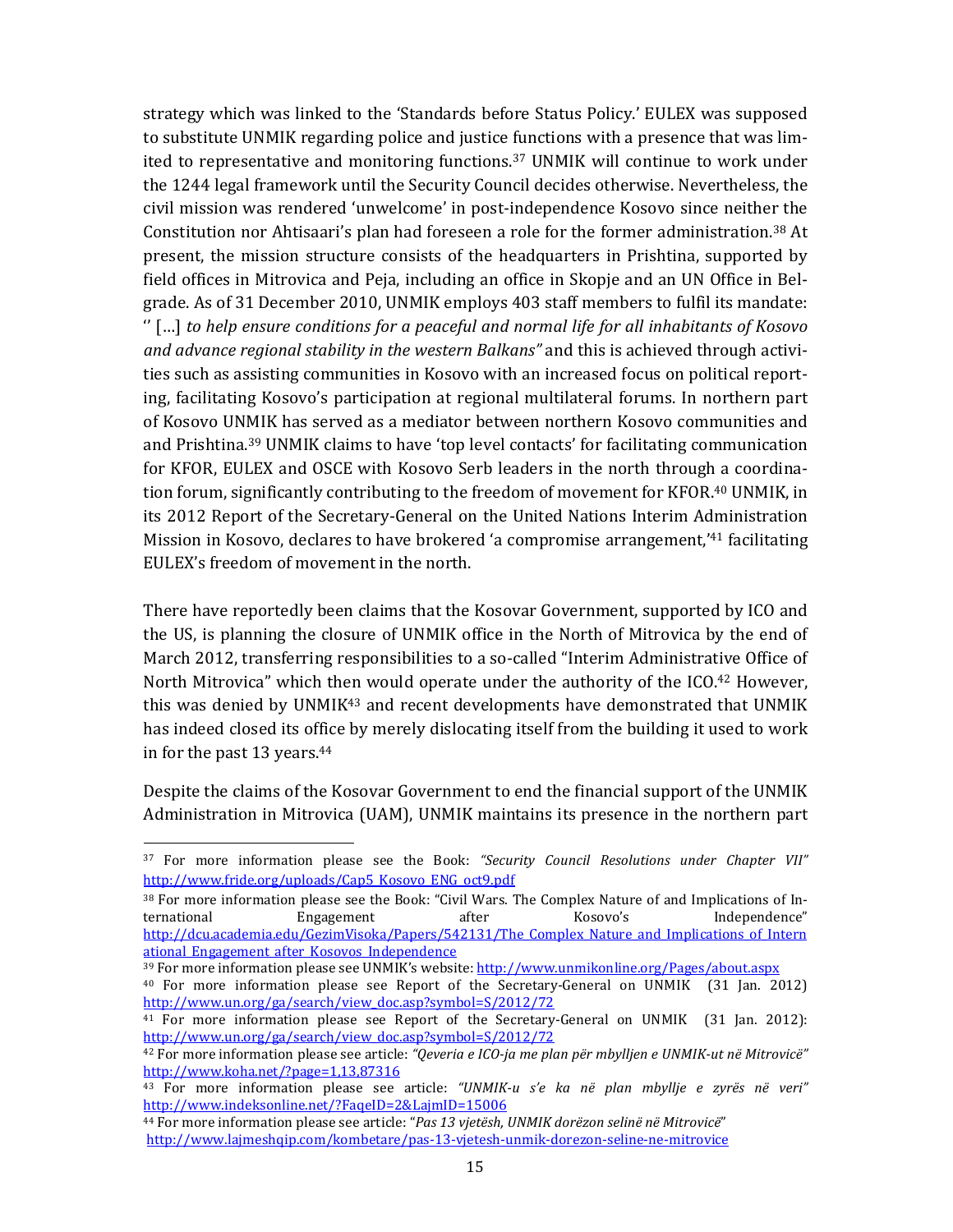strategy which was linked to the 'Standards before Status Policy.' EULEX was supposed to substitute UNMIK regarding police and justice functions with a presence that was limited to representative and monitoring functions.<sup>37</sup> UNMIK will continue to work under the 1244 legal framework until the Security Council decides otherwise. Nevertheless, the civil mission was rendered 'unwelcome' in post-independence Kosovo since neither the Constitution nor Ahtisaari's plan had foreseen a role for the former administration.<sup>38</sup> At present, the mission structure consists of the headquarters in Prishtina, supported by field offices in Mitrovica and Peja, including an office in Skopje and an UN Office in Belgrade. As of 31 December 2010, UNMIK employs 403 staff members to fulfil its mandate: '' […] to help ensure conditions for a peaceful and normal life for all inhabitants of Kosovo and advance regional stability in the western Balkans" and this is achieved through activities such as assisting communities in Kosovo with an increased focus on political reporting, facilitating Kosovo's participation at regional multilateral forums. In northern part of Kosovo UNMIK has served as a mediator between northern Kosovo communities and and Prishtina.<sup>39</sup> UNMIK claims to have 'top level contacts' for facilitating communication for KFOR, EULEX and OSCE with Kosovo Serb leaders in the north through a coordination forum, significantly contributing to the freedom of movement for KFOR.<sup>40</sup> UNMIK, in its 2012 Report of the Secretary-General on the United Nations Interim Administration Mission in Kosovo, declares to have brokered 'a compromise arrangement,'41 facilitating EULEX's freedom of movement in the north.

There have reportedly been claims that the Kosovar Government, supported by ICO and the US, is planning the closure of UNMIK office in the North of Mitrovica by the end of March 2012, transferring responsibilities to a so-called "Interim Administrative Office of North Mitrovica" which then would operate under the authority of the ICO.<sup>42</sup> However, this was denied by UNMIK<sup>43</sup> and recent developments have demonstrated that UNMIK has indeed closed its office by merely dislocating itself from the building it used to work in for the past 13 years.<sup>44</sup>

Despite the claims of the Kosovar Government to end the financial support of the UNMIK Administration in Mitrovica (UAM), UNMIK maintains its presence in the northern part

 $\overline{a}$ 

<sup>39</sup> For more information please see UNMIK's website: http://www.unmikonline.org/Pages/about.aspx

<sup>&</sup>lt;sup>37</sup> For more information please see the Book: "Security Council Resolutions under Chapter VII" http://www.fride.org/uploads/Cap5\_Kosovo\_ENG\_oct9.pdf

<sup>38</sup> For more information please see the Book: "Civil Wars. The Complex Nature of and Implications of International Engagement after Kosovo's Independence" http://dcu.academia.edu/GezimVisoka/Papers/542131/The\_Complex\_Nature\_and\_Implications\_of\_Intern ational\_Engagement\_after\_Kosovos\_Independence

<sup>40</sup> For more information please see Report of the Secretary-General on UNMIK (31 Jan. 2012) http://www.un.org/ga/search/view\_doc.asp?symbol=S/2012/72

<sup>41</sup> For more information please see Report of the Secretary-General on UNMIK (31 Jan. 2012): http://www.un.org/ga/search/view\_doc.asp?symbol=S/2012/72

<sup>42</sup> For more information please see article: "Qeveria e ICO-ja me plan për mbylljen e UNMIK-ut në Mitrovicë" http://www.koha.net/?page=1,13,87316

<sup>&</sup>lt;sup>43</sup> For more information please see article: "UNMIK-u s'e ka në plan mbyllje e zyrës në veri" http://www.indeksonline.net/?FaqeID=2&LajmID=15006

<sup>&</sup>lt;sup>44</sup> For more information please see article: "Pas 13 vjetësh, UNMIK dorëzon selinë në Mitrovicë" http://www.lajmeshqip.com/kombetare/pas-13-vjetesh-unmik-dorezon-seline-ne-mitrovice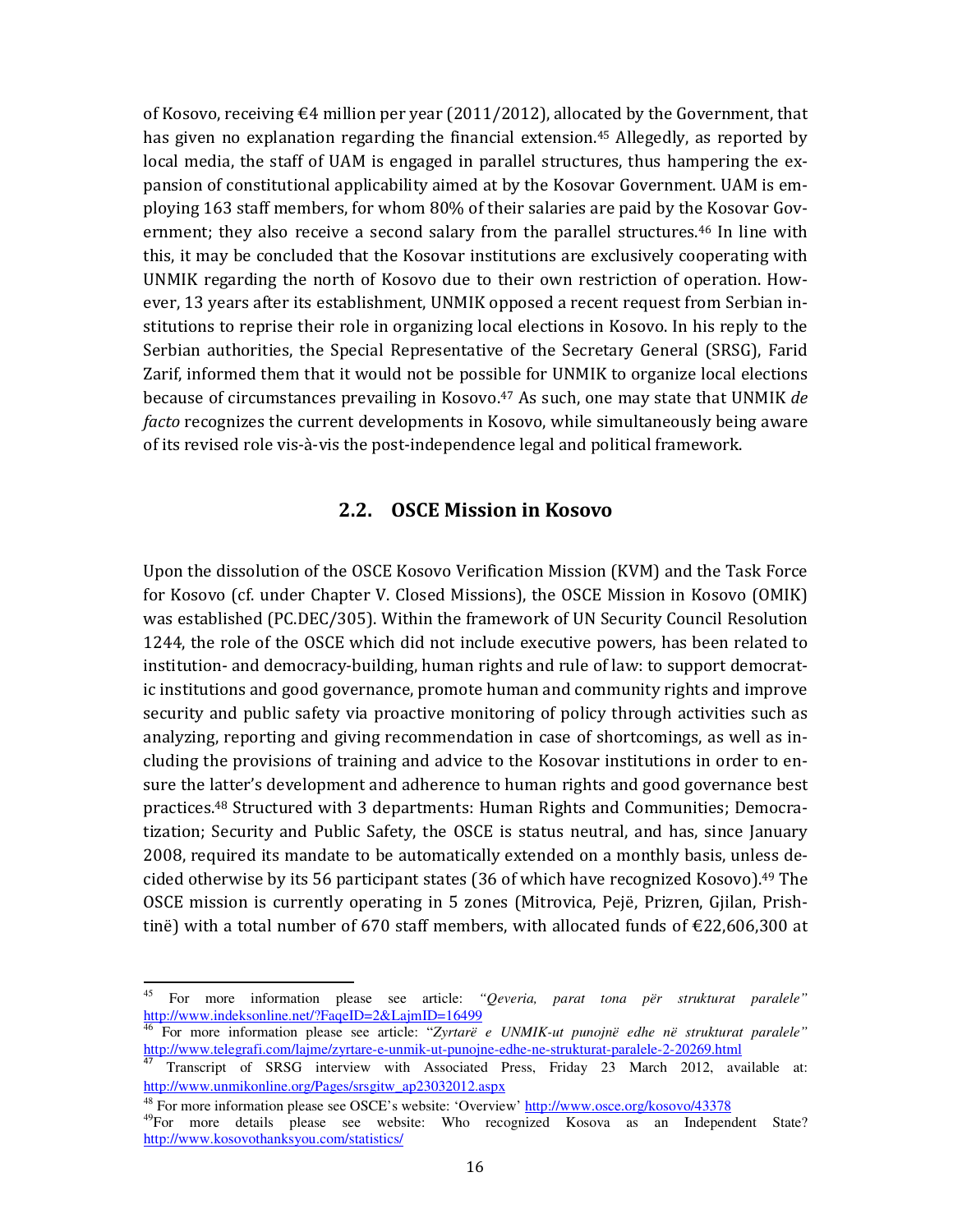of Kosovo, receiving  $\epsilon$ 4 million per year (2011/2012), allocated by the Government, that has given no explanation regarding the financial extension.<sup>45</sup> Allegedly, as reported by local media, the staff of UAM is engaged in parallel structures, thus hampering the expansion of constitutional applicability aimed at by the Kosovar Government. UAM is employing 163 staff members, for whom 80% of their salaries are paid by the Kosovar Government; they also receive a second salary from the parallel structures.<sup>46</sup> In line with this, it may be concluded that the Kosovar institutions are exclusively cooperating with UNMIK regarding the north of Kosovo due to their own restriction of operation. However, 13 years after its establishment, UNMIK opposed a recent request from Serbian institutions to reprise their role in organizing local elections in Kosovo. In his reply to the Serbian authorities, the Special Representative of the Secretary General (SRSG), Farid Zarif, informed them that it would not be possible for UNMIK to organize local elections because of circumstances prevailing in Kosovo.<sup>47</sup> As such, one may state that UNMIK de facto recognizes the current developments in Kosovo, while simultaneously being aware of its revised role vis-à-vis the post-independence legal and political framework.

#### 2.2. OSCE Mission in Kosovo

Upon the dissolution of the OSCE Kosovo Verification Mission (KVM) and the Task Force for Kosovo (cf. under Chapter V. Closed Missions), the OSCE Mission in Kosovo (OMIK) was established (PC.DEC/305). Within the framework of UN Security Council Resolution 1244, the role of the OSCE which did not include executive powers, has been related to institution- and democracy-building, human rights and rule of law: to support democratic institutions and good governance, promote human and community rights and improve security and public safety via proactive monitoring of policy through activities such as analyzing, reporting and giving recommendation in case of shortcomings, as well as including the provisions of training and advice to the Kosovar institutions in order to ensure the latter's development and adherence to human rights and good governance best practices.48 Structured with 3 departments: Human Rights and Communities; Democratization; Security and Public Safety, the OSCE is status neutral, and has, since January 2008, required its mandate to be automatically extended on a monthly basis, unless decided otherwise by its 56 participant states (36 of which have recognized Kosovo).49 The OSCE mission is currently operating in 5 zones (Mitrovica, Pejë, Prizren, Gjilan, Prishtinë) with a total number of 670 staff members, with allocated funds of €22,606,300 at

<sup>45</sup> For more information please see article: *"Qeveria, parat tona për strukturat paralele"* http://www.indeksonline.net/?FaqeID=2&LajmID=16499

<sup>46</sup> For more information please see article: "*Zyrtarë e UNMIK-ut punojnë edhe në strukturat paralele"*  http://www.telegrafi.com/lajme/zyrtare-e-unmik-ut-punojne-edhe-ne-strukturat-paralele-2-20269.html

<sup>47</sup> Transcript of SRSG interview with Associated Press, Friday 23 March 2012, available at: http://www.unmikonline.org/Pages/srsgitw\_ap23032012.aspx

<sup>48</sup> For more information please see OSCE's website: 'Overview' http://www.osce.org/kosovo/43378 <sup>49</sup>For more details please see website: Who recognized Kosova as an Independent State? http://www.kosovothanksyou.com/statistics/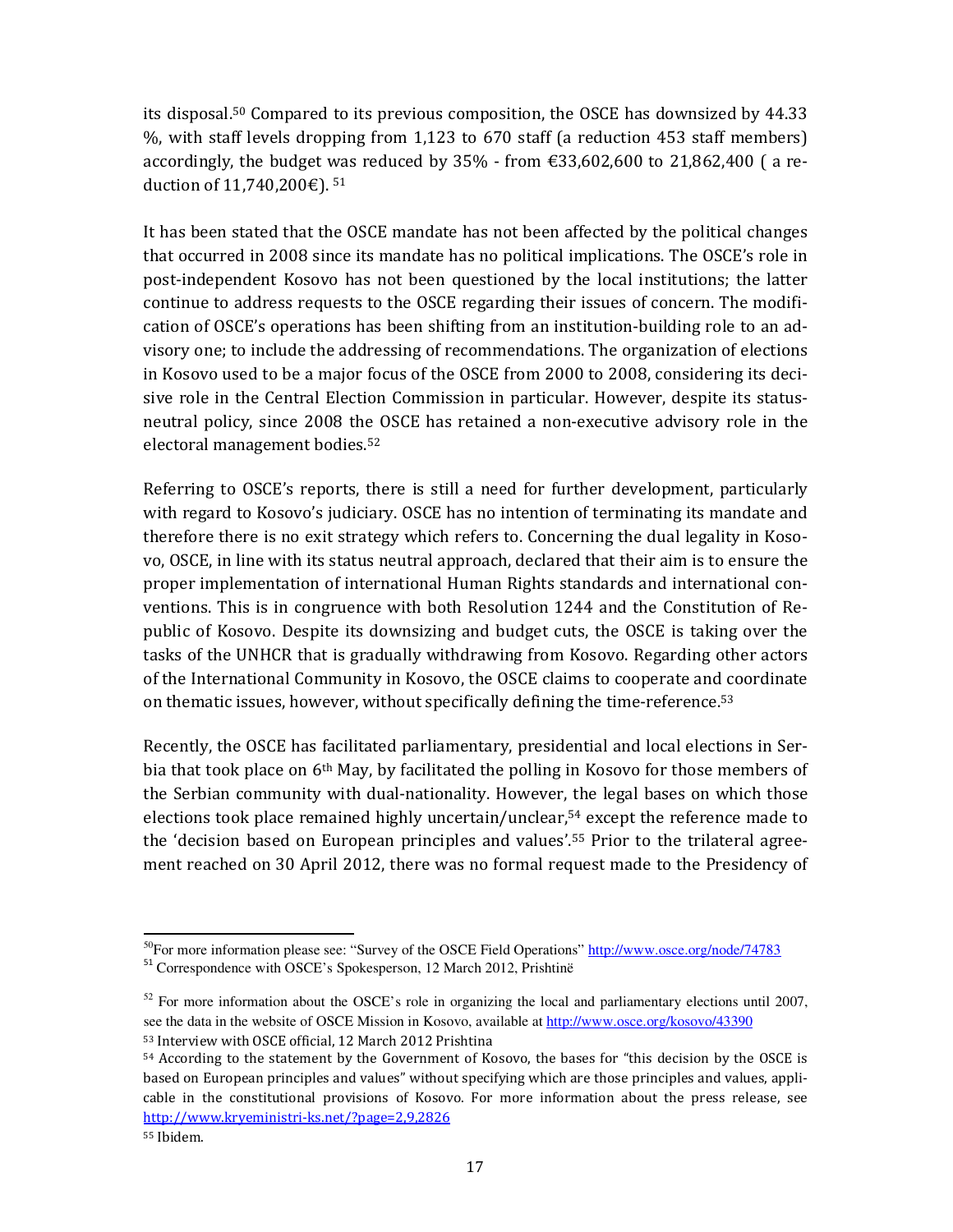its disposal.50 Compared to its previous composition, the OSCE has downsized by 44.33 %, with staff levels dropping from 1,123 to 670 staff (a reduction 453 staff members) accordingly, the budget was reduced by  $35\%$  - from  $\text{\textsterling}33,602,600$  to 21,862,400 (a reduction of 11,740,200€). <sup>51</sup>

It has been stated that the OSCE mandate has not been affected by the political changes that occurred in 2008 since its mandate has no political implications. The OSCE's role in post-independent Kosovo has not been questioned by the local institutions; the latter continue to address requests to the OSCE regarding their issues of concern. The modification of OSCE's operations has been shifting from an institution-building role to an advisory one; to include the addressing of recommendations. The organization of elections in Kosovo used to be a major focus of the OSCE from 2000 to 2008, considering its decisive role in the Central Election Commission in particular. However, despite its statusneutral policy, since 2008 the OSCE has retained a non-executive advisory role in the electoral management bodies.<sup>52</sup>

Referring to OSCE's reports, there is still a need for further development, particularly with regard to Kosovo's judiciary. OSCE has no intention of terminating its mandate and therefore there is no exit strategy which refers to. Concerning the dual legality in Kosovo, OSCE, in line with its status neutral approach, declared that their aim is to ensure the proper implementation of international Human Rights standards and international conventions. This is in congruence with both Resolution 1244 and the Constitution of Republic of Kosovo. Despite its downsizing and budget cuts, the OSCE is taking over the tasks of the UNHCR that is gradually withdrawing from Kosovo. Regarding other actors of the International Community in Kosovo, the OSCE claims to cooperate and coordinate on thematic issues, however, without specifically defining the time-reference.<sup>53</sup>

Recently, the OSCE has facilitated parliamentary, presidential and local elections in Serbia that took place on 6<sup>th</sup> May, by facilitated the polling in Kosovo for those members of the Serbian community with dual-nationality. However, the legal bases on which those elections took place remained highly uncertain/unclear,<sup>54</sup> except the reference made to the 'decision based on European principles and values'.55 Prior to the trilateral agreement reached on 30 April 2012, there was no formal request made to the Presidency of

<sup>&</sup>lt;sup>50</sup>For more information please see: "Survey of the OSCE Field Operations" http://www.osce.org/node/74783 <sup>51</sup> Correspondence with OSCE's Spokesperson, 12 March 2012, Prishtinë

 $52$  For more information about the OSCE's role in organizing the local and parliamentary elections until 2007, see the data in the website of OSCE Mission in Kosovo, available at http://www.osce.org/kosovo/43390

<sup>53</sup> Interview with OSCE official, 12 March 2012 Prishtina

<sup>54</sup> According to the statement by the Government of Kosovo, the bases for "this decision by the OSCE is based on European principles and values" without specifying which are those principles and values, applicable in the constitutional provisions of Kosovo. For more information about the press release, see http://www.kryeministri-ks.net/?page=2,9,2826

<sup>55</sup> Ibidem.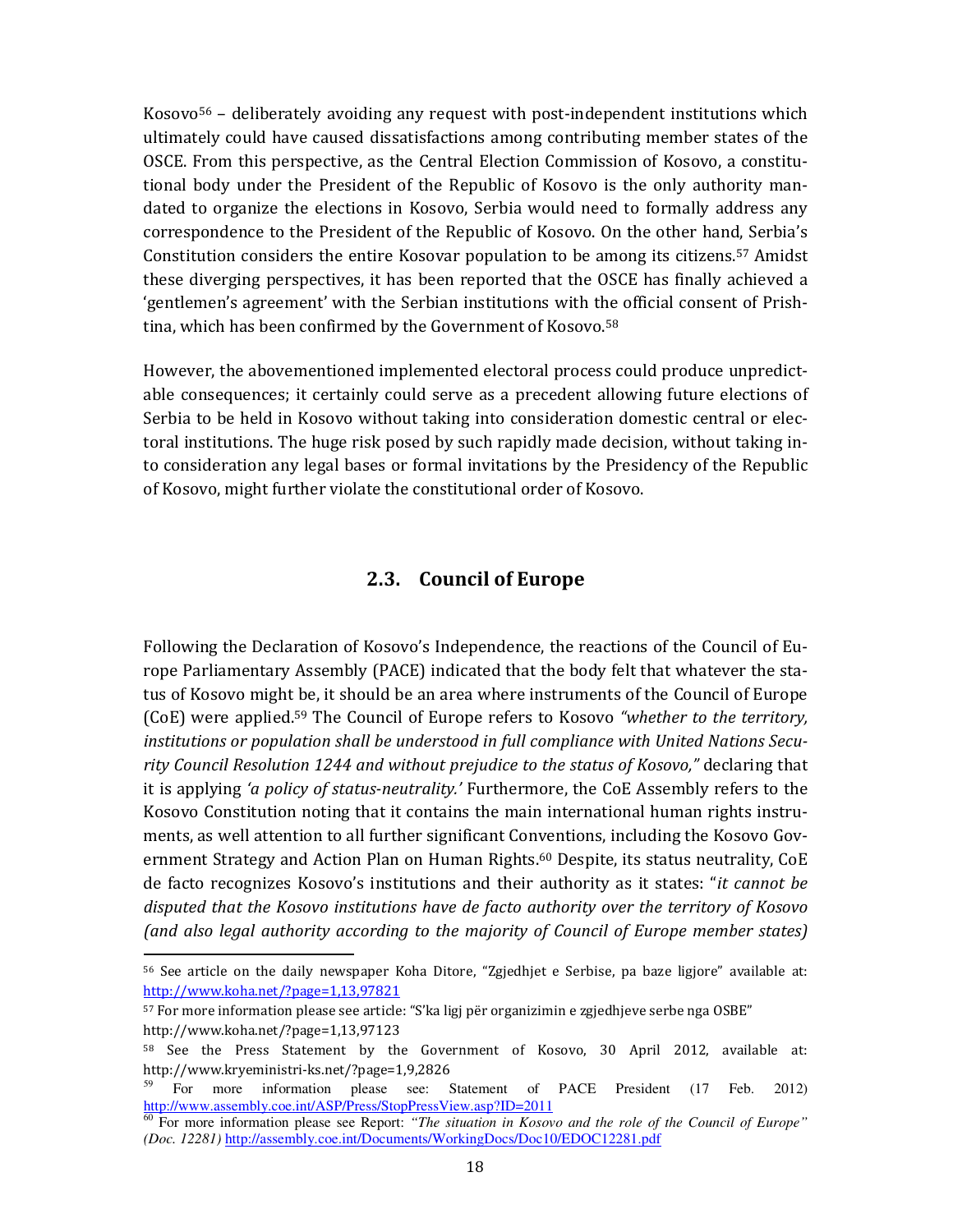Kosovo $56$  – deliberately avoiding any request with post-independent institutions which ultimately could have caused dissatisfactions among contributing member states of the OSCE. From this perspective, as the Central Election Commission of Kosovo, a constitutional body under the President of the Republic of Kosovo is the only authority mandated to organize the elections in Kosovo, Serbia would need to formally address any correspondence to the President of the Republic of Kosovo. On the other hand, Serbia's Constitution considers the entire Kosovar population to be among its citizens.<sup>57</sup> Amidst these diverging perspectives, it has been reported that the OSCE has finally achieved a 'gentlemen's agreement' with the Serbian institutions with the official consent of Prishtina, which has been confirmed by the Government of Kosovo.<sup>58</sup>

However, the abovementioned implemented electoral process could produce unpredictable consequences; it certainly could serve as a precedent allowing future elections of Serbia to be held in Kosovo without taking into consideration domestic central or electoral institutions. The huge risk posed by such rapidly made decision, without taking into consideration any legal bases or formal invitations by the Presidency of the Republic of Kosovo, might further violate the constitutional order of Kosovo.

#### 2.3. Council of Europe

Following the Declaration of Kosovo's Independence, the reactions of the Council of Europe Parliamentary Assembly (PACE) indicated that the body felt that whatever the status of Kosovo might be, it should be an area where instruments of the Council of Europe (CoE) were applied.<sup>59</sup> The Council of Europe refers to Kosovo "whether to the territory, institutions or population shall be understood in full compliance with United Nations Security Council Resolution 1244 and without prejudice to the status of Kosovo," declaring that it is applying 'a policy of status-neutrality.' Furthermore, the CoE Assembly refers to the Kosovo Constitution noting that it contains the main international human rights instruments, as well attention to all further significant Conventions, including the Kosovo Government Strategy and Action Plan on Human Rights.60 Despite, its status neutrality, CoE de facto recognizes Kosovo's institutions and their authority as it states: "it cannot be disputed that the Kosovo institutions have de facto authority over the territory of Kosovo (and also legal authority according to the majority of Council of Europe member states)

<sup>56</sup> See article on the daily newspaper Koha Ditore, "Zgjedhjet e Serbise, pa baze ligjore" available at: http://www.koha.net/?page=1,13,97821

<sup>57</sup> For more information please see article: "S'ka ligj për organizimin e zgjedhjeve serbe nga OSBE" http://www.koha.net/?page=1,13,97123

<sup>58</sup> See the Press Statement by the Government of Kosovo, 30 April 2012, available at: http://www.kryeministri-ks.net/?page=1,9,2826

<sup>&</sup>lt;sup>59</sup> For more information please see: Statement of PACE President (17 Feb. 2012) http://www.assembly.coe.int/ASP/Press/StopPressView.asp?ID=2011

<sup>&</sup>lt;sup>60</sup> For more information please see Report: *"The situation in Kosovo and the role of the Council of Europe" (Doc. 12281)* http://assembly.coe.int/Documents/WorkingDocs/Doc10/EDOC12281.pdf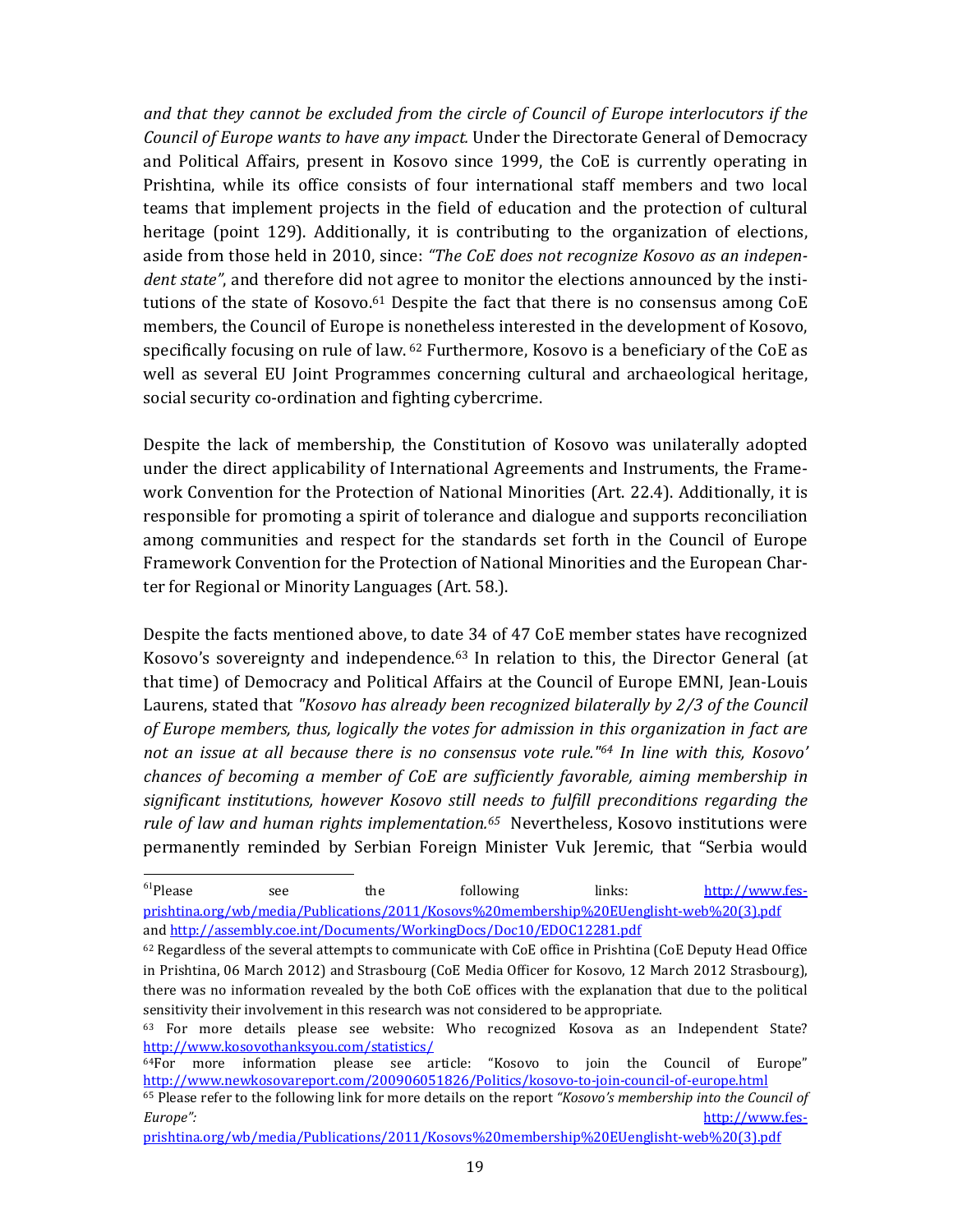and that they cannot be excluded from the circle of Council of Europe interlocutors if the Council of Europe wants to have any impact. Under the Directorate General of Democracy and Political Affairs, present in Kosovo since 1999, the CoE is currently operating in Prishtina, while its office consists of four international staff members and two local teams that implement projects in the field of education and the protection of cultural heritage (point 129). Additionally, it is contributing to the organization of elections, aside from those held in 2010, since: "The CoE does not recognize Kosovo as an independent state", and therefore did not agree to monitor the elections announced by the institutions of the state of Kosovo.61 Despite the fact that there is no consensus among CoE members, the Council of Europe is nonetheless interested in the development of Kosovo, specifically focusing on rule of law. 62 Furthermore, Kosovo is a beneficiary of the CoE as well as several EU Joint Programmes concerning cultural and archaeological heritage, social security co-ordination and fighting cybercrime.

Despite the lack of membership, the Constitution of Kosovo was unilaterally adopted under the direct applicability of International Agreements and Instruments, the Framework Convention for the Protection of National Minorities (Art. 22.4). Additionally, it is responsible for promoting a spirit of tolerance and dialogue and supports reconciliation among communities and respect for the standards set forth in the Council of Europe Framework Convention for the Protection of National Minorities and the European Charter for Regional or Minority Languages (Art. 58.).

Despite the facts mentioned above, to date 34 of 47 CoE member states have recognized Kosovo's sovereignty and independence.63 In relation to this, the Director General (at that time) of Democracy and Political Affairs at the Council of Europe EMNI, Jean-Louis Laurens, stated that "Kosovo has already been recognized bilaterally by 2/3 of the Council of Europe members, thus, logically the votes for admission in this organization in fact are not an issue at all because there is no consensus vote rule."<sup>64</sup> In line with this, Kosovo' chances of becoming a member of CoE are sufficiently favorable, aiming membership in significant institutions, however Kosovo still needs to fulfill preconditions regarding the rule of law and human rights implementation.<sup>65</sup> Nevertheless, Kosovo institutions were permanently reminded by Serbian Foreign Minister Vuk Jeremic, that "Serbia would

 $<sup>61</sup>$  Please see the following links:  $http://www.fes-$ </sup></u> prishtina.org/wb/media/Publications/2011/Kosovs%20membership%20EUenglisht-web%20(3).pdf and http://assembly.coe.int/Documents/WorkingDocs/Doc10/EDOC12281.pdf

<sup>62</sup> Regardless of the several attempts to communicate with CoE office in Prishtina (CoE Deputy Head Office in Prishtina, 06 March 2012) and Strasbourg (CoE Media Officer for Kosovo, 12 March 2012 Strasbourg), there was no information revealed by the both CoE offices with the explanation that due to the political sensitivity their involvement in this research was not considered to be appropriate.

<sup>63</sup> For more details please see website: Who recognized Kosova as an Independent State? http://www.kosovothanksyou.com/statistics/

<sup>64</sup>For more information please see article: "Kosovo to join the Council of Europe" http://www.newkosovareport.com/200906051826/Politics/kosovo-to-join-council-of-europe.html

<sup>65</sup> Please refer to the following link for more details on the report "Kosovo's membership into the Council of Europe": http://www.fes-

prishtina.org/wb/media/Publications/2011/Kosovs%20membership%20EUenglisht-web%20(3).pdf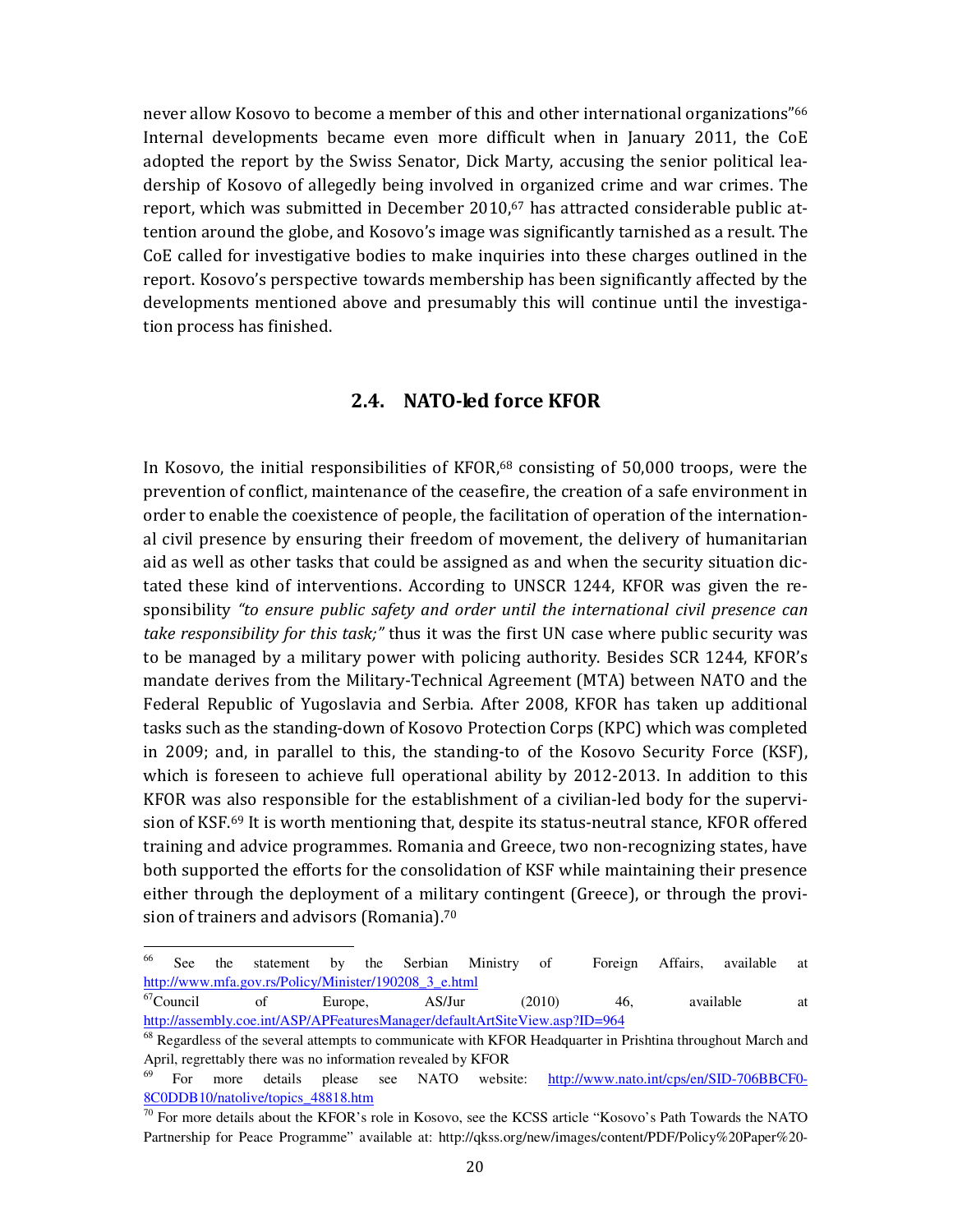never allow Kosovo to become a member of this and other international organizations"<sup>66</sup> Internal developments became even more difficult when in January 2011, the CoE adopted the report by the Swiss Senator, Dick Marty, accusing the senior political leadership of Kosovo of allegedly being involved in organized crime and war crimes. The report, which was submitted in December  $2010<sub>1</sub>$ <sup>67</sup> has attracted considerable public attention around the globe, and Kosovo's image was significantly tarnished as a result. The CoE called for investigative bodies to make inquiries into these charges outlined in the report. Kosovo's perspective towards membership has been significantly affected by the developments mentioned above and presumably this will continue until the investigation process has finished.

#### 2.4. NATO-led force KFOR

In Kosovo, the initial responsibilities of KFOR,<sup>68</sup> consisting of 50,000 troops, were the prevention of conflict, maintenance of the ceasefire, the creation of a safe environment in order to enable the coexistence of people, the facilitation of operation of the international civil presence by ensuring their freedom of movement, the delivery of humanitarian aid as well as other tasks that could be assigned as and when the security situation dictated these kind of interventions. According to UNSCR 1244, KFOR was given the responsibility "to ensure public safety and order until the international civil presence can take responsibility for this task;" thus it was the first UN case where public security was to be managed by a military power with policing authority. Besides SCR 1244, KFOR's mandate derives from the Military-Technical Agreement (MTA) between NATO and the Federal Republic of Yugoslavia and Serbia. After 2008, KFOR has taken up additional tasks such as the standing-down of Kosovo Protection Corps (KPC) which was completed in 2009; and, in parallel to this, the standing-to of the Kosovo Security Force (KSF), which is foreseen to achieve full operational ability by 2012-2013. In addition to this KFOR was also responsible for the establishment of a civilian-led body for the supervision of KSF.<sup>69</sup> It is worth mentioning that, despite its status-neutral stance, KFOR offered training and advice programmes. Romania and Greece, two non-recognizing states, have both supported the efforts for the consolidation of KSF while maintaining their presence either through the deployment of a military contingent (Greece), or through the provision of trainers and advisors (Romania).<sup>70</sup>

<sup>&</sup>lt;sup>66</sup> See the statement by the Serbian Ministry of Foreign Affairs, available at http://www.mfa.gov.rs/Policy/Minister/190208\_3\_e.html<br><sup>67</sup>Council of Europe, AS/Jur

 ${}^{67}$ Council of Europe, AS/Jur (2010) 46, available at http://assembly.coe.int/ASP/APFeaturesManager/defaultArtSiteView.asp?ID=964

<sup>&</sup>lt;sup>68</sup> Regardless of the several attempts to communicate with KFOR Headquarter in Prishtina throughout March and April, regrettably there was no information revealed by KFOR<br><sup>69</sup> Equation related by the space of MATO unbeing

For more details please see NATO website: http://www.nato.int/cps/en/SID-706BBCF0-8C0DDB10/natolive/topics\_48818.htm

 $\frac{70}{10}$  For more details about the KFOR's role in Kosovo, see the KCSS article "Kosovo's Path Towards the NATO Partnership for Peace Programme" available at: http://qkss.org/new/images/content/PDF/Policy%20Paper%20-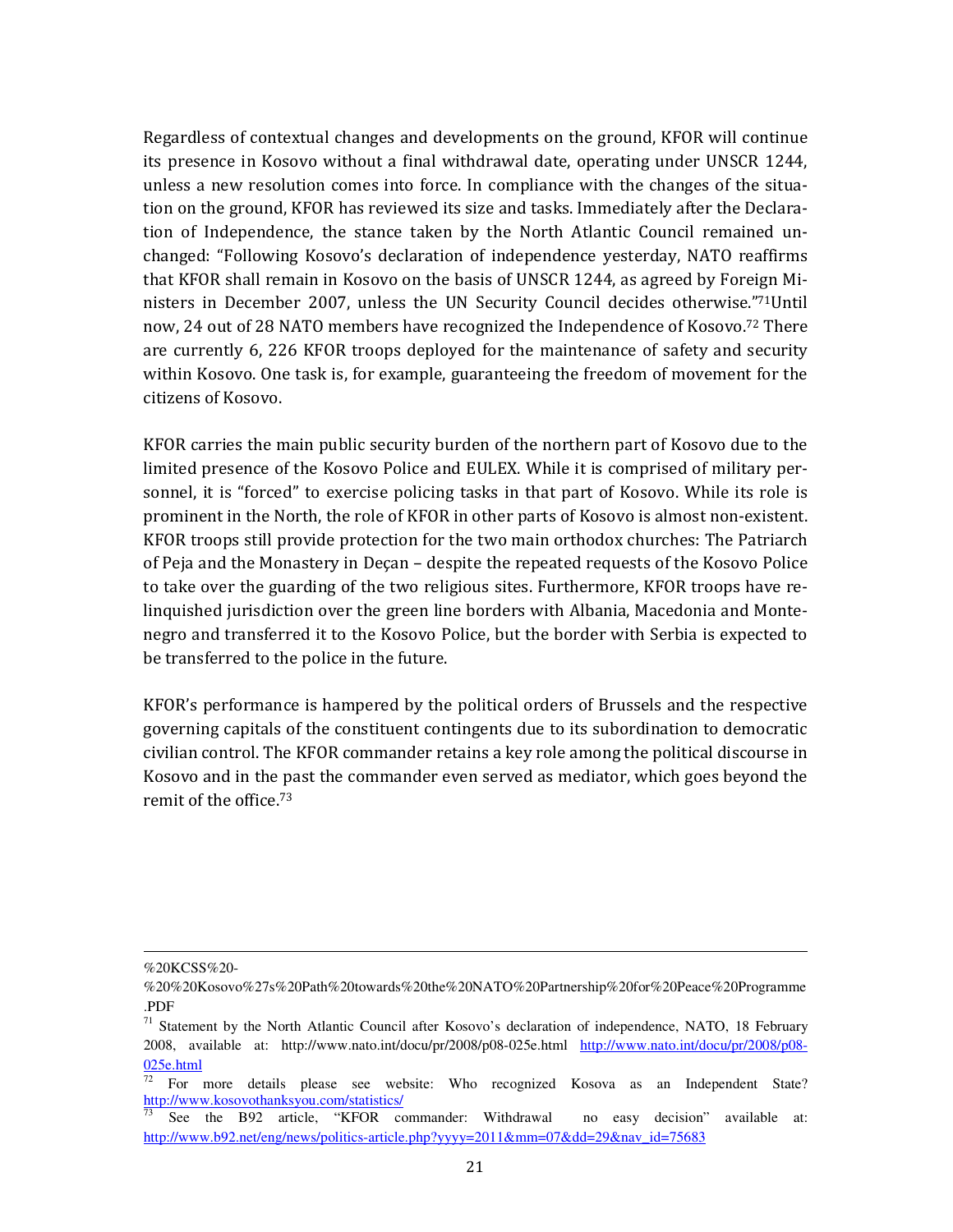Regardless of contextual changes and developments on the ground, KFOR will continue its presence in Kosovo without a final withdrawal date, operating under UNSCR 1244, unless a new resolution comes into force. In compliance with the changes of the situation on the ground, KFOR has reviewed its size and tasks. Immediately after the Declaration of Independence, the stance taken by the North Atlantic Council remained unchanged: "Following Kosovo's declaration of independence yesterday, NATO reaffirms that KFOR shall remain in Kosovo on the basis of UNSCR 1244, as agreed by Foreign Ministers in December 2007, unless the UN Security Council decides otherwise."71Until now, 24 out of 28 NATO members have recognized the Independence of Kosovo.72 There are currently 6, 226 KFOR troops deployed for the maintenance of safety and security within Kosovo. One task is, for example, guaranteeing the freedom of movement for the citizens of Kosovo.

KFOR carries the main public security burden of the northern part of Kosovo due to the limited presence of the Kosovo Police and EULEX. While it is comprised of military personnel, it is "forced" to exercise policing tasks in that part of Kosovo. While its role is prominent in the North, the role of KFOR in other parts of Kosovo is almost non-existent. KFOR troops still provide protection for the two main orthodox churches: The Patriarch of Peja and the Monastery in Deçan – despite the repeated requests of the Kosovo Police to take over the guarding of the two religious sites. Furthermore, KFOR troops have relinquished jurisdiction over the green line borders with Albania, Macedonia and Montenegro and transferred it to the Kosovo Police, but the border with Serbia is expected to be transferred to the police in the future.

KFOR's performance is hampered by the political orders of Brussels and the respective governing capitals of the constituent contingents due to its subordination to democratic civilian control. The KFOR commander retains a key role among the political discourse in Kosovo and in the past the commander even served as mediator, which goes beyond the remit of the office.<sup>73</sup>

<sup>%20</sup>KCSS%20-

<sup>%20%20</sup>Kosovo%27s%20Path%20towards%20the%20NATO%20Partnership%20for%20Peace%20Programme .PDF

<sup>71</sup> Statement by the North Atlantic Council after Kosovo's declaration of independence, NATO, 18 February 2008, available at: http://www.nato.int/docu/pr/2008/p08-025e.html http://www.nato.int/docu/pr/2008/p08- 025e.html

<sup>&</sup>lt;sup>72</sup> For more details please see website: Who recognized Kosova as an Independent State? http://www.kosovothanksyou.com/statistics/

<sup>73</sup> See the B92 article, "KFOR commander: Withdrawal no easy decision" available at: http://www.b92.net/eng/news/politics-article.php?yyyy=2011&mm=07&dd=29&nav\_id=75683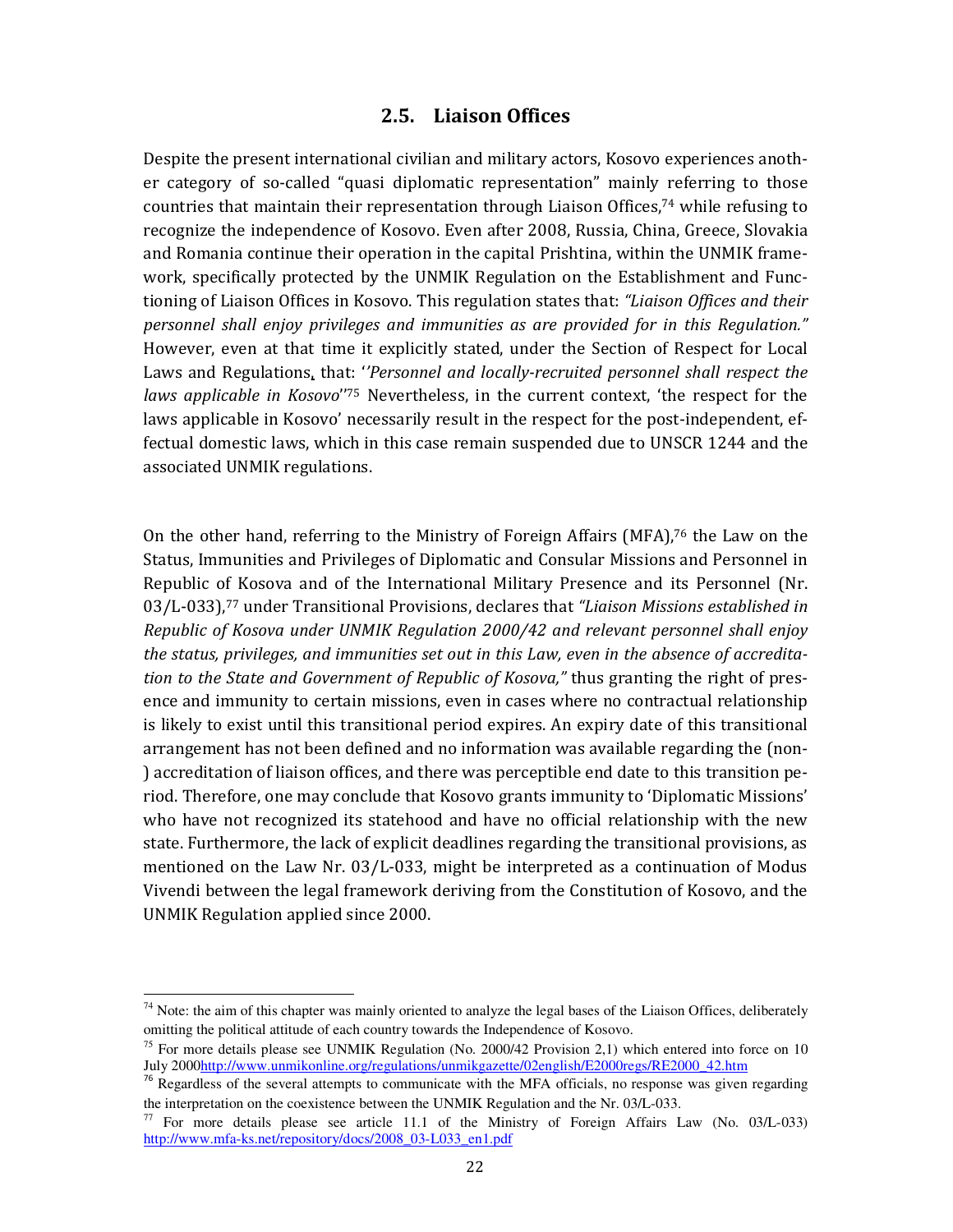#### 2.5. Liaison Offices

Despite the present international civilian and military actors, Kosovo experiences another category of so-called "quasi diplomatic representation" mainly referring to those countries that maintain their representation through Liaison Offices,74 while refusing to recognize the independence of Kosovo. Even after 2008, Russia, China, Greece, Slovakia and Romania continue their operation in the capital Prishtina, within the UNMIK framework, specifically protected by the UNMIK Regulation on the Establishment and Functioning of Liaison Offices in Kosovo. This regulation states that: "Liaison Offices and their personnel shall enjoy privileges and immunities as are provided for in this Regulation." However, even at that time it explicitly stated, under the Section of Respect for Local Laws and Regulations, that: ''Personnel and locally-recruited personnel shall respect the laws applicable in Kosovo"<sup>75</sup> Nevertheless, in the current context, 'the respect for the laws applicable in Kosovo' necessarily result in the respect for the post-independent, effectual domestic laws, which in this case remain suspended due to UNSCR 1244 and the associated UNMIK regulations.

On the other hand, referring to the Ministry of Foreign Affairs (MFA),<sup>76</sup> the Law on the Status, Immunities and Privileges of Diplomatic and Consular Missions and Personnel in Republic of Kosova and of the International Military Presence and its Personnel (Nr. 03/L-033),<sup>77</sup> under Transitional Provisions, declares that "Liaison Missions established in Republic of Kosova under UNMIK Regulation 2000/42 and relevant personnel shall enjoy the status, privileges, and immunities set out in this Law, even in the absence of accreditation to the State and Government of Republic of Kosova," thus granting the right of presence and immunity to certain missions, even in cases where no contractual relationship is likely to exist until this transitional period expires. An expiry date of this transitional arrangement has not been defined and no information was available regarding the (non- ) accreditation of liaison offices, and there was perceptible end date to this transition period. Therefore, one may conclude that Kosovo grants immunity to 'Diplomatic Missions' who have not recognized its statehood and have no official relationship with the new state. Furthermore, the lack of explicit deadlines regarding the transitional provisions, as mentioned on the Law Nr. 03/L-033, might be interpreted as a continuation of Modus Vivendi between the legal framework deriving from the Constitution of Kosovo, and the UNMIK Regulation applied since 2000.

 $74$  Note: the aim of this chapter was mainly oriented to analyze the legal bases of the Liaison Offices, deliberately omitting the political attitude of each country towards the Independence of Kosovo.

<sup>&</sup>lt;sup>75</sup> For more details please see UNMIK Regulation (No. 2000/42 Provision 2,1) which entered into force on 10 July 2000http://www.unmikonline.org/regulations/unmikgazette/02english/E2000regs/RE2000\_42.htm

 $<sup>76</sup>$  Regardless of the several attempts to communicate with the MFA officials, no response was given regarding</sup> the interpretation on the coexistence between the UNMIK Regulation and the Nr. 03/L-033.

<sup>&</sup>lt;sup>77</sup> For more details please see article 11.1 of the Ministry of Foreign Affairs Law (No. 03/L-033) http://www.mfa-ks.net/repository/docs/2008\_03-L033\_en1.pdf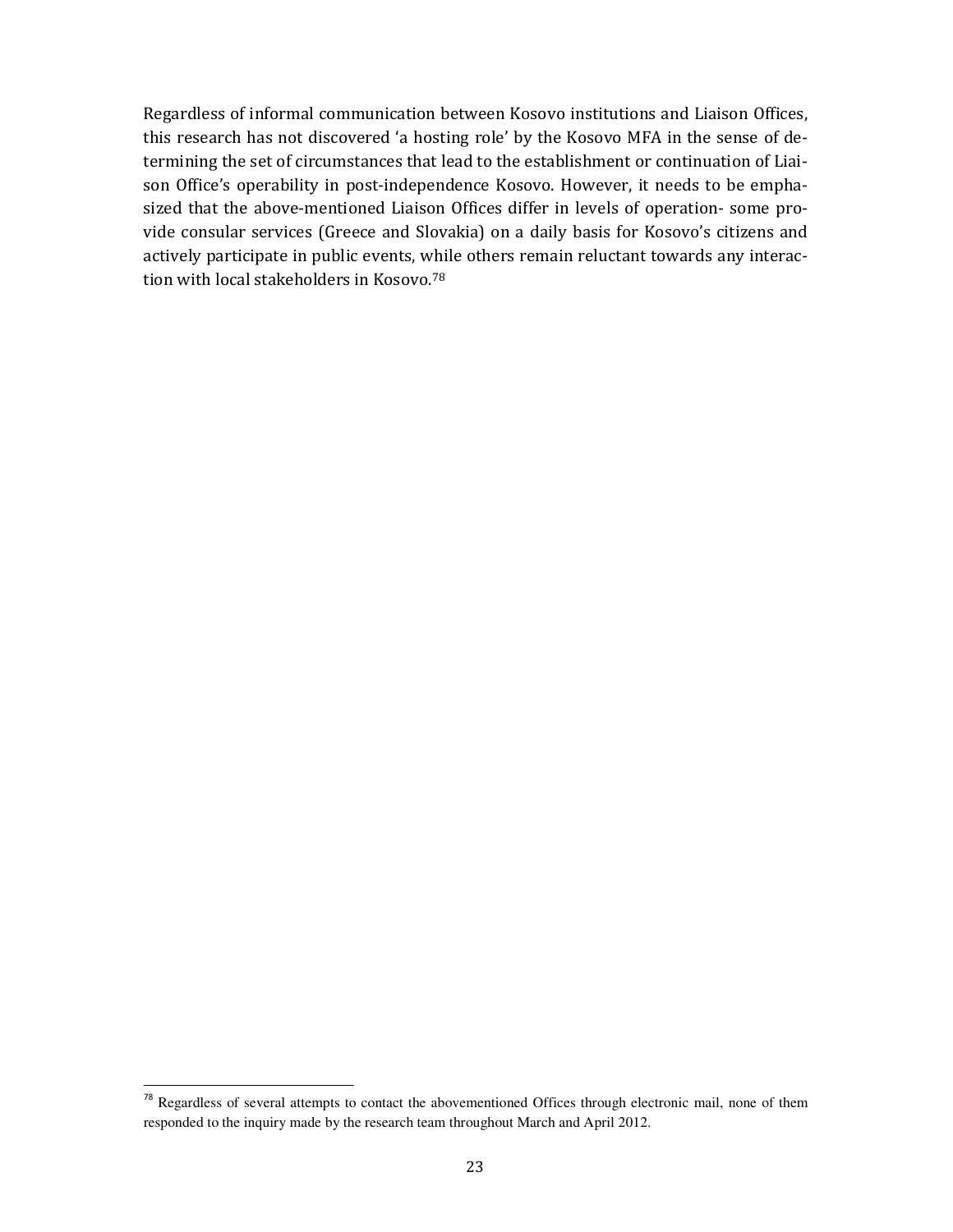Regardless of informal communication between Kosovo institutions and Liaison Offices, this research has not discovered 'a hosting role' by the Kosovo MFA in the sense of determining the set of circumstances that lead to the establishment or continuation of Liaison Office's operability in post-independence Kosovo. However, it needs to be emphasized that the above-mentioned Liaison Offices differ in levels of operation- some provide consular services (Greece and Slovakia) on a daily basis for Kosovo's citizens and actively participate in public events, while others remain reluctant towards any interaction with local stakeholders in Kosovo.<sup>78</sup>

<sup>&</sup>lt;sup>78</sup> Regardless of several attempts to contact the abovementioned Offices through electronic mail, none of them responded to the inquiry made by the research team throughout March and April 2012.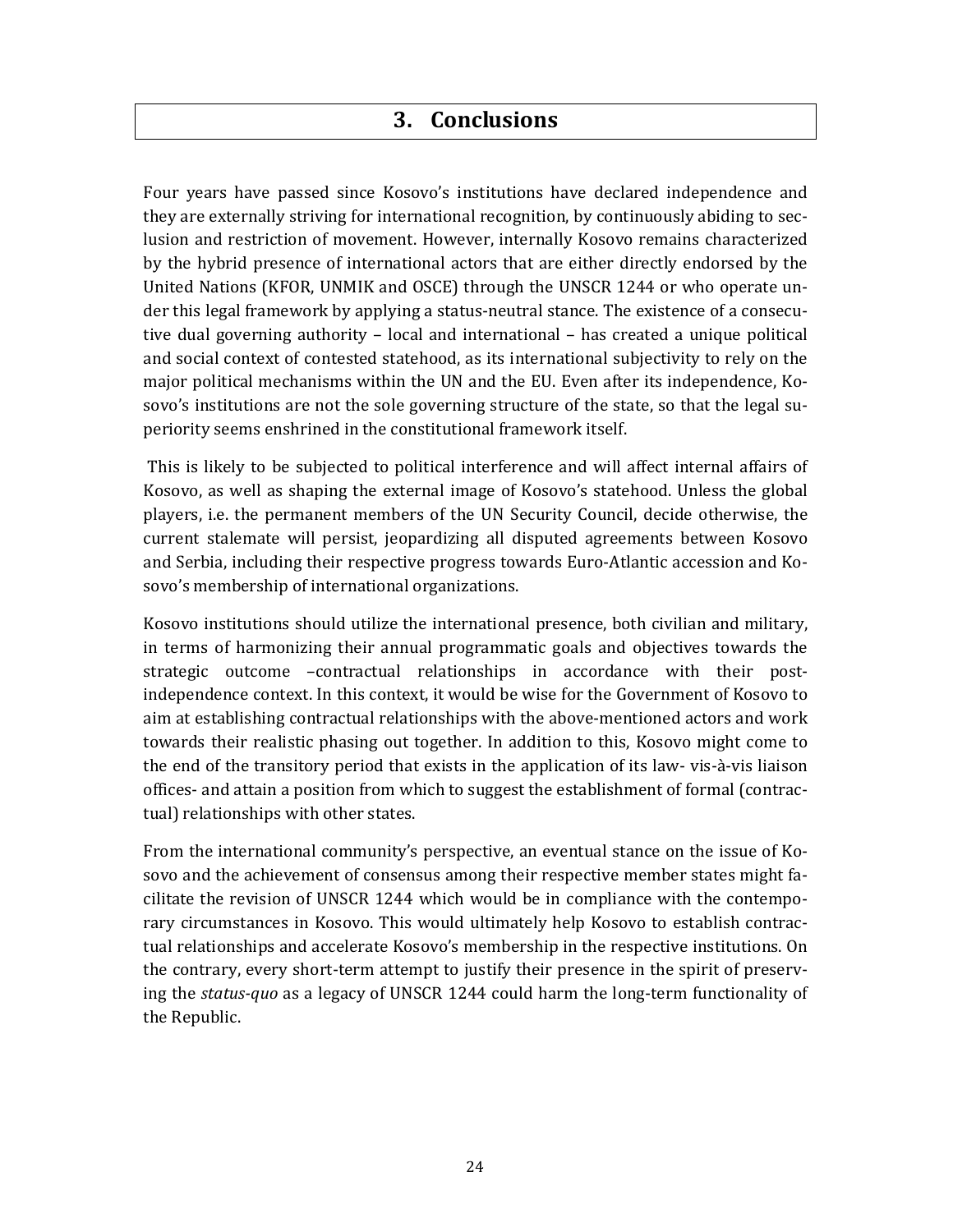#### 3. Conclusions

Four years have passed since Kosovo's institutions have declared independence and they are externally striving for international recognition, by continuously abiding to seclusion and restriction of movement. However, internally Kosovo remains characterized by the hybrid presence of international actors that are either directly endorsed by the United Nations (KFOR, UNMIK and OSCE) through the UNSCR 1244 or who operate under this legal framework by applying a status-neutral stance. The existence of a consecutive dual governing authority – local and international – has created a unique political and social context of contested statehood, as its international subjectivity to rely on the major political mechanisms within the UN and the EU. Even after its independence, Kosovo's institutions are not the sole governing structure of the state, so that the legal superiority seems enshrined in the constitutional framework itself.

 This is likely to be subjected to political interference and will affect internal affairs of Kosovo, as well as shaping the external image of Kosovo's statehood. Unless the global players, i.e. the permanent members of the UN Security Council, decide otherwise, the current stalemate will persist, jeopardizing all disputed agreements between Kosovo and Serbia, including their respective progress towards Euro-Atlantic accession and Kosovo's membership of international organizations.

Kosovo institutions should utilize the international presence, both civilian and military, in terms of harmonizing their annual programmatic goals and objectives towards the strategic outcome –contractual relationships in accordance with their postindependence context. In this context, it would be wise for the Government of Kosovo to aim at establishing contractual relationships with the above-mentioned actors and work towards their realistic phasing out together. In addition to this, Kosovo might come to the end of the transitory period that exists in the application of its law- vis-à-vis liaison offices- and attain a position from which to suggest the establishment of formal (contractual) relationships with other states.

From the international community's perspective, an eventual stance on the issue of Kosovo and the achievement of consensus among their respective member states might facilitate the revision of UNSCR 1244 which would be in compliance with the contemporary circumstances in Kosovo. This would ultimately help Kosovo to establish contractual relationships and accelerate Kosovo's membership in the respective institutions. On the contrary, every short-term attempt to justify their presence in the spirit of preserving the status-quo as a legacy of UNSCR 1244 could harm the long-term functionality of the Republic.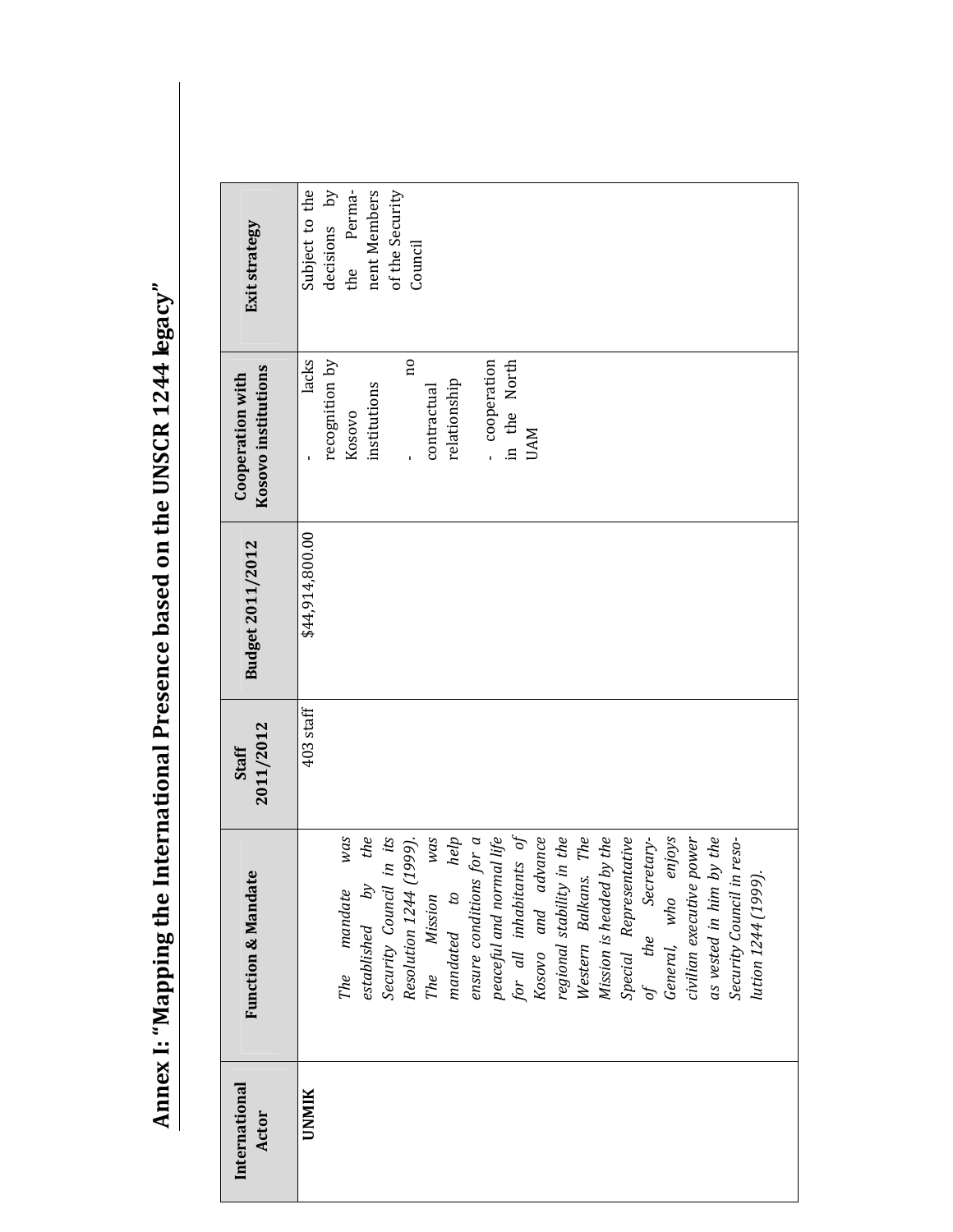Annex I: "Mapping the International Presence based on the UNSCR 1244 legacy" Annex I: "Mapping the International Presence based on the UNSCR 1244 legacy"

| International<br><b>Actor</b> | <b>Function &amp; Mandate</b>                                                                                                                                                                                                                                                                                                                                                                                                                                                                                                                  | 2011/2012<br><b>Staff</b> | Budget 2011/2012 | Kosovo institutions<br><b>Cooperation with</b>                                                                                                             | <b>Exit strategy</b>                                                                          |
|-------------------------------|------------------------------------------------------------------------------------------------------------------------------------------------------------------------------------------------------------------------------------------------------------------------------------------------------------------------------------------------------------------------------------------------------------------------------------------------------------------------------------------------------------------------------------------------|---------------------------|------------------|------------------------------------------------------------------------------------------------------------------------------------------------------------|-----------------------------------------------------------------------------------------------|
| UNMIK                         | for all inhabitants of<br>peaceful and normal life<br>help<br>Kosovo and advance<br>$\mathit{The}$<br>was<br>the<br>was<br>for $a$<br>regional stability in the<br>civilian executive power<br>as vested in him by the<br>Security Council in its<br>Mission is headed by the<br>Special Representative<br>of the Secretary-<br>General, who enjoys<br>Security Council in reso-<br>Resolution 1244 (1999).<br>lution 1244 (1999).<br>ensure conditions f<br>Western Balkans.<br>$extablished$ by<br>The mandate<br>The Mission<br>mandated to | $403$ staff               | \$44,914,800.00  | lacks<br>$\overline{\mathrm{a}}$<br>- cooperation<br>recognition by<br>in the North<br>relationship<br>institutions<br>contractual<br>Kosovo<br><b>UAM</b> | Subject to the<br>Perma-<br>nent Members<br>decisions by<br>of the Security<br>Council<br>the |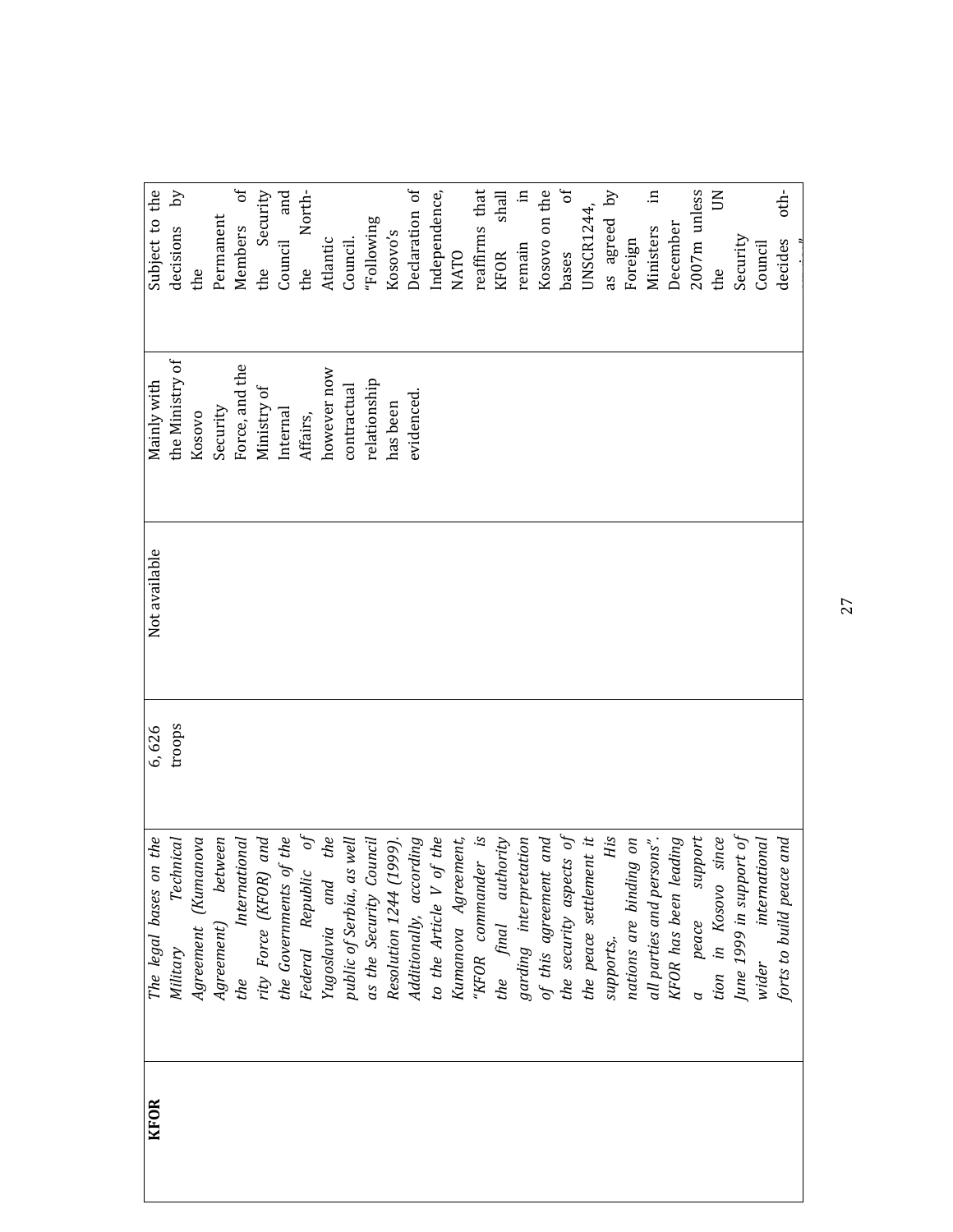| Force, and the<br>however now<br>relationship<br>contractual<br>Ministry of<br>evidenced<br>has been<br>Security<br>Internal<br>Kosovo<br>Affairs,<br>the security aspects of<br>Federal Republic of<br>Yugoslavia and the<br>the peace settlement it<br>a peace support<br>tion in Kosovo since<br>His<br>Agreement (Kumanova<br>the International<br>rity Force (KFOR) and<br>the Governments of the<br>$the$<br>to the Article V of the<br>Kumanova Agreement,<br>"KFOR commander is<br>of this agreement and<br>all parties and persons".<br>June 1999 in support of<br>Agreement) between<br>Council<br>Additionally, according<br>the final authority<br>garding interpretation<br>nations are binding on<br>public of Serbia., as well<br>$(1999)$ .<br>KFOR has been leading<br>wider international<br>Resolution 1244<br>as the Security<br>supports,. | on the<br>The legal bases | 6,626  | Not available | Mainly with     | Subject to the                               |
|-----------------------------------------------------------------------------------------------------------------------------------------------------------------------------------------------------------------------------------------------------------------------------------------------------------------------------------------------------------------------------------------------------------------------------------------------------------------------------------------------------------------------------------------------------------------------------------------------------------------------------------------------------------------------------------------------------------------------------------------------------------------------------------------------------------------------------------------------------------------|---------------------------|--------|---------------|-----------------|----------------------------------------------|
|                                                                                                                                                                                                                                                                                                                                                                                                                                                                                                                                                                                                                                                                                                                                                                                                                                                                 | Technical<br>Military     | troops |               | the Ministry of | $\overline{S}$<br>decisions                  |
|                                                                                                                                                                                                                                                                                                                                                                                                                                                                                                                                                                                                                                                                                                                                                                                                                                                                 |                           |        |               |                 | the                                          |
|                                                                                                                                                                                                                                                                                                                                                                                                                                                                                                                                                                                                                                                                                                                                                                                                                                                                 |                           |        |               |                 | Permanent                                    |
|                                                                                                                                                                                                                                                                                                                                                                                                                                                                                                                                                                                                                                                                                                                                                                                                                                                                 |                           |        |               |                 | Members of                                   |
|                                                                                                                                                                                                                                                                                                                                                                                                                                                                                                                                                                                                                                                                                                                                                                                                                                                                 |                           |        |               |                 | Security<br>the                              |
|                                                                                                                                                                                                                                                                                                                                                                                                                                                                                                                                                                                                                                                                                                                                                                                                                                                                 |                           |        |               |                 | and<br>Council                               |
|                                                                                                                                                                                                                                                                                                                                                                                                                                                                                                                                                                                                                                                                                                                                                                                                                                                                 |                           |        |               |                 | North-<br>the                                |
|                                                                                                                                                                                                                                                                                                                                                                                                                                                                                                                                                                                                                                                                                                                                                                                                                                                                 |                           |        |               |                 | Atlantic                                     |
|                                                                                                                                                                                                                                                                                                                                                                                                                                                                                                                                                                                                                                                                                                                                                                                                                                                                 |                           |        |               |                 | Council.                                     |
|                                                                                                                                                                                                                                                                                                                                                                                                                                                                                                                                                                                                                                                                                                                                                                                                                                                                 |                           |        |               |                 | "Following                                   |
|                                                                                                                                                                                                                                                                                                                                                                                                                                                                                                                                                                                                                                                                                                                                                                                                                                                                 |                           |        |               |                 | Kosovo's                                     |
|                                                                                                                                                                                                                                                                                                                                                                                                                                                                                                                                                                                                                                                                                                                                                                                                                                                                 |                           |        |               |                 | Declaration of                               |
|                                                                                                                                                                                                                                                                                                                                                                                                                                                                                                                                                                                                                                                                                                                                                                                                                                                                 |                           |        |               |                 | Independence,                                |
|                                                                                                                                                                                                                                                                                                                                                                                                                                                                                                                                                                                                                                                                                                                                                                                                                                                                 |                           |        |               |                 | <b>NATO</b>                                  |
|                                                                                                                                                                                                                                                                                                                                                                                                                                                                                                                                                                                                                                                                                                                                                                                                                                                                 |                           |        |               |                 | reaffirms that                               |
|                                                                                                                                                                                                                                                                                                                                                                                                                                                                                                                                                                                                                                                                                                                                                                                                                                                                 |                           |        |               |                 | $\ensuremath{\mathsf{shall}}$<br><b>KFOR</b> |
|                                                                                                                                                                                                                                                                                                                                                                                                                                                                                                                                                                                                                                                                                                                                                                                                                                                                 |                           |        |               |                 | $\Xi$<br>remain                              |
|                                                                                                                                                                                                                                                                                                                                                                                                                                                                                                                                                                                                                                                                                                                                                                                                                                                                 |                           |        |               |                 | Kosovo on the                                |
|                                                                                                                                                                                                                                                                                                                                                                                                                                                                                                                                                                                                                                                                                                                                                                                                                                                                 |                           |        |               |                 | $\sigma$ f<br>bases                          |
|                                                                                                                                                                                                                                                                                                                                                                                                                                                                                                                                                                                                                                                                                                                                                                                                                                                                 |                           |        |               |                 | UNSCR1244,                                   |
|                                                                                                                                                                                                                                                                                                                                                                                                                                                                                                                                                                                                                                                                                                                                                                                                                                                                 |                           |        |               |                 | as agreed by                                 |
|                                                                                                                                                                                                                                                                                                                                                                                                                                                                                                                                                                                                                                                                                                                                                                                                                                                                 |                           |        |               |                 | Foreign                                      |
|                                                                                                                                                                                                                                                                                                                                                                                                                                                                                                                                                                                                                                                                                                                                                                                                                                                                 |                           |        |               |                 | Ц.<br>Ministers                              |
|                                                                                                                                                                                                                                                                                                                                                                                                                                                                                                                                                                                                                                                                                                                                                                                                                                                                 |                           |        |               |                 | December                                     |
|                                                                                                                                                                                                                                                                                                                                                                                                                                                                                                                                                                                                                                                                                                                                                                                                                                                                 |                           |        |               |                 | 2007m unless                                 |
|                                                                                                                                                                                                                                                                                                                                                                                                                                                                                                                                                                                                                                                                                                                                                                                                                                                                 |                           |        |               |                 | $\mathsf{K}$<br>the                          |
|                                                                                                                                                                                                                                                                                                                                                                                                                                                                                                                                                                                                                                                                                                                                                                                                                                                                 |                           |        |               |                 | Security                                     |
|                                                                                                                                                                                                                                                                                                                                                                                                                                                                                                                                                                                                                                                                                                                                                                                                                                                                 |                           |        |               |                 | Council                                      |
|                                                                                                                                                                                                                                                                                                                                                                                                                                                                                                                                                                                                                                                                                                                                                                                                                                                                 | forts to build peace and  |        |               |                 | oth-<br>decides                              |

27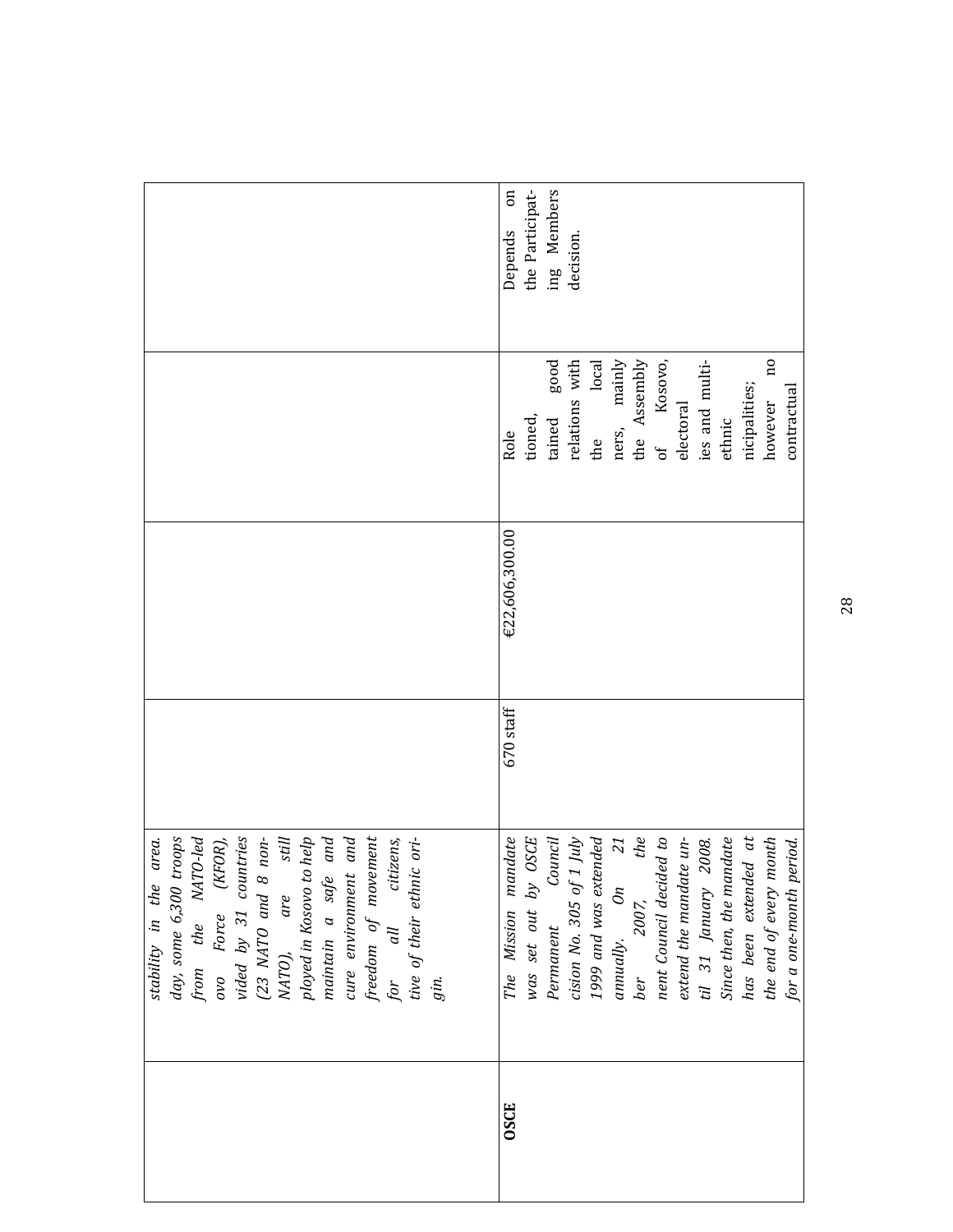| <b>OSCE</b> | has been extended at<br>ovo Force (KFOR),<br>vided by 31 countries<br>freedom of movement<br>for all citizens,<br>Since then, the mandate<br>troops<br>from the NATO-led<br>1999 and was extended<br>the end of every month<br>$non-$<br>The Mission mandate<br>was set out by OSCE<br>Permanent Council<br>$the$<br>nent Council decided to<br>extend the mandate un-<br>ployed in Kosovo to help<br>and<br>tive of their ethnic ori-<br>cision No. 305 of 1 July<br>area.<br>still<br>and<br>$\overline{z}$<br>2008.<br>cure environment<br>$(23$ MATO and 8<br>maintain a safe<br>day, some 6,300 i<br>stability in the<br>annually. On<br>til 31 January<br>NATO), are<br>ber 2007,<br>gin. | $670$ staff | €22,606,300.00 | relations with<br>of Kosovo,<br>$_{\rm good}$<br>the Assembly<br>ies and multi-<br>no<br>mainly<br>local<br>nicipalities;<br>however<br>electoral<br>tioned,<br>tained<br>ethnic<br>ners,<br>Role<br>the | <b>no</b><br>the Participat-<br>ing Members<br><b>Depends</b><br>decision. |
|-------------|-------------------------------------------------------------------------------------------------------------------------------------------------------------------------------------------------------------------------------------------------------------------------------------------------------------------------------------------------------------------------------------------------------------------------------------------------------------------------------------------------------------------------------------------------------------------------------------------------------------------------------------------------------------------------------------------------|-------------|----------------|----------------------------------------------------------------------------------------------------------------------------------------------------------------------------------------------------------|----------------------------------------------------------------------------|
|             | for a one-month period.                                                                                                                                                                                                                                                                                                                                                                                                                                                                                                                                                                                                                                                                         |             |                | contractual                                                                                                                                                                                              |                                                                            |

28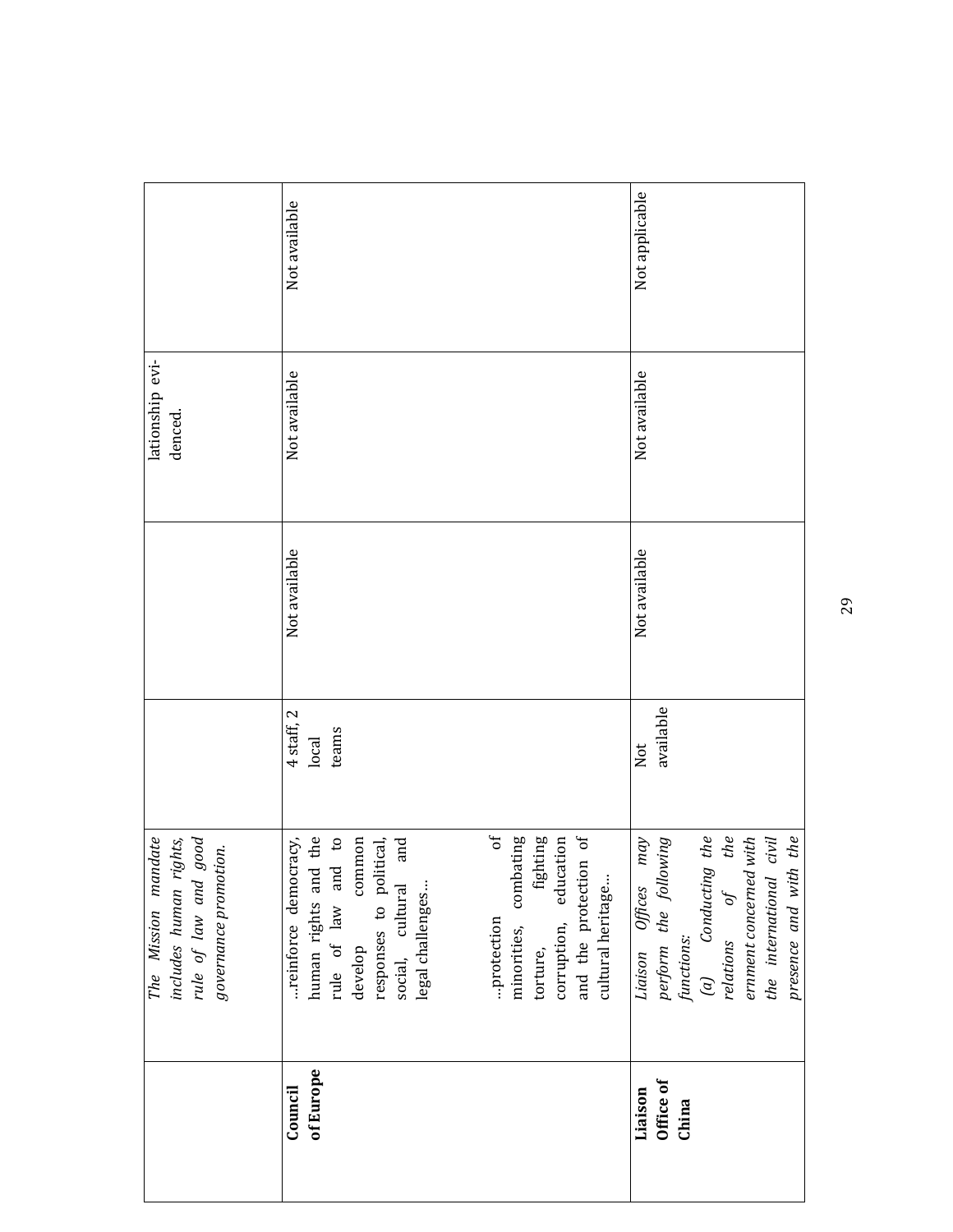|                               | $\mathit{good}$<br>The Mission mandate<br>rights,<br>governance promotion.<br>rule of law and<br>includes human                                                                                                                                                                       |                                 |               | lationship evi-<br>denced. |                |
|-------------------------------|---------------------------------------------------------------------------------------------------------------------------------------------------------------------------------------------------------------------------------------------------------------------------------------|---------------------------------|---------------|----------------------------|----------------|
| of Europe<br>Council          | $\mathfrak{b}$<br>human rights and the<br>rule of law and to<br>develop common<br>responses to political,<br>reinforce democracy,<br>and<br>social, cultural<br>legal challenges<br>protection                                                                                        | 2<br>4 staff,<br>teams<br>local | Not available | Not available              | Not available  |
|                               | and the protection of<br>minorities, combating<br>fighting<br>corruption, education<br>cultural heritage<br>torture,                                                                                                                                                                  |                                 |               |                            |                |
| Office of<br>Liaison<br>China | $\begin{array}{lll} (a) & \textit{Conducting the} \\ \textit{relations} & \textit{of} & \textit{the} \end{array}$<br>the international civil<br>presence and with the<br>may<br>perform the following<br>ernment concerned with<br>the international<br>Liaison Offices<br>functions: | available<br>Not                | Not available | Not available              | Not applicable |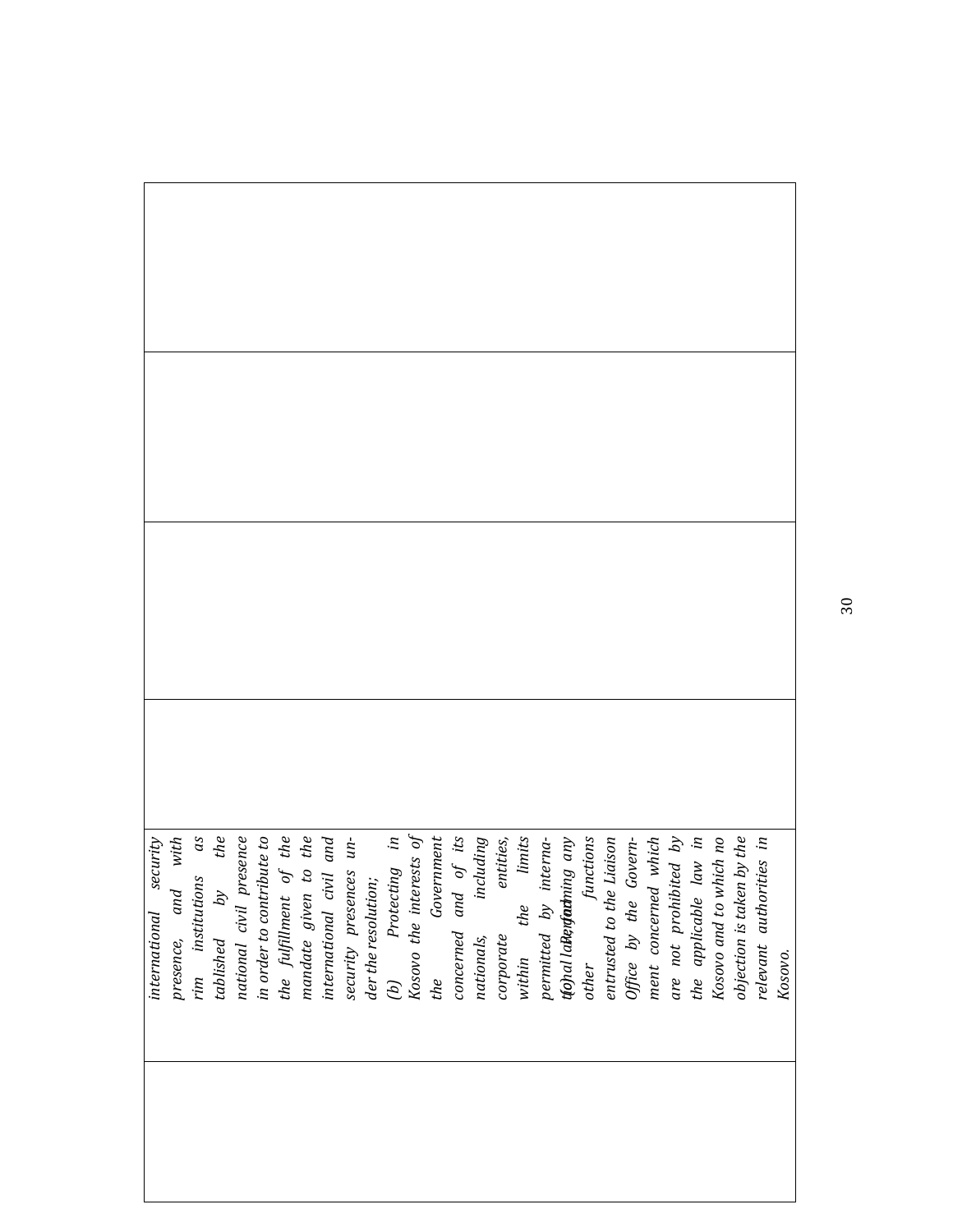| security<br><i>international</i> | with<br>presence, and | rim institutions | $\begin{array}{c} as \\ the \end{array}$ | tablished by the<br>national civil presence | in order to contribute to | $\begin{tabular}{ll} the \\ \hline \textit{full} & \textit{first} \\ \textit{mandate given to the} \\ \textit{intermational civil} & \textit{and} \end{tabular}$ |  | security presences un- | der the resolution;<br>(b)            Protecting      in<br>Kosovo  the  interests  of |  | the Government<br>concerned and of its<br>nationals, including | entities,<br>corporate | limits<br>within the | interna-<br>permitted by | functions | entrusted to the Liaison | Govern-<br>Office by the | ment concerned which<br>are not prohibited by | the applicable law in | Kosovo and to which no | objection is taken by the | relevant authorities in | Kosovo. |
|----------------------------------|-----------------------|------------------|------------------------------------------|---------------------------------------------|---------------------------|------------------------------------------------------------------------------------------------------------------------------------------------------------------|--|------------------------|----------------------------------------------------------------------------------------|--|----------------------------------------------------------------|------------------------|----------------------|--------------------------|-----------|--------------------------|--------------------------|-----------------------------------------------|-----------------------|------------------------|---------------------------|-------------------------|---------|

 $\mathbf{r}$ 

30

 $\overline{\phantom{a}}$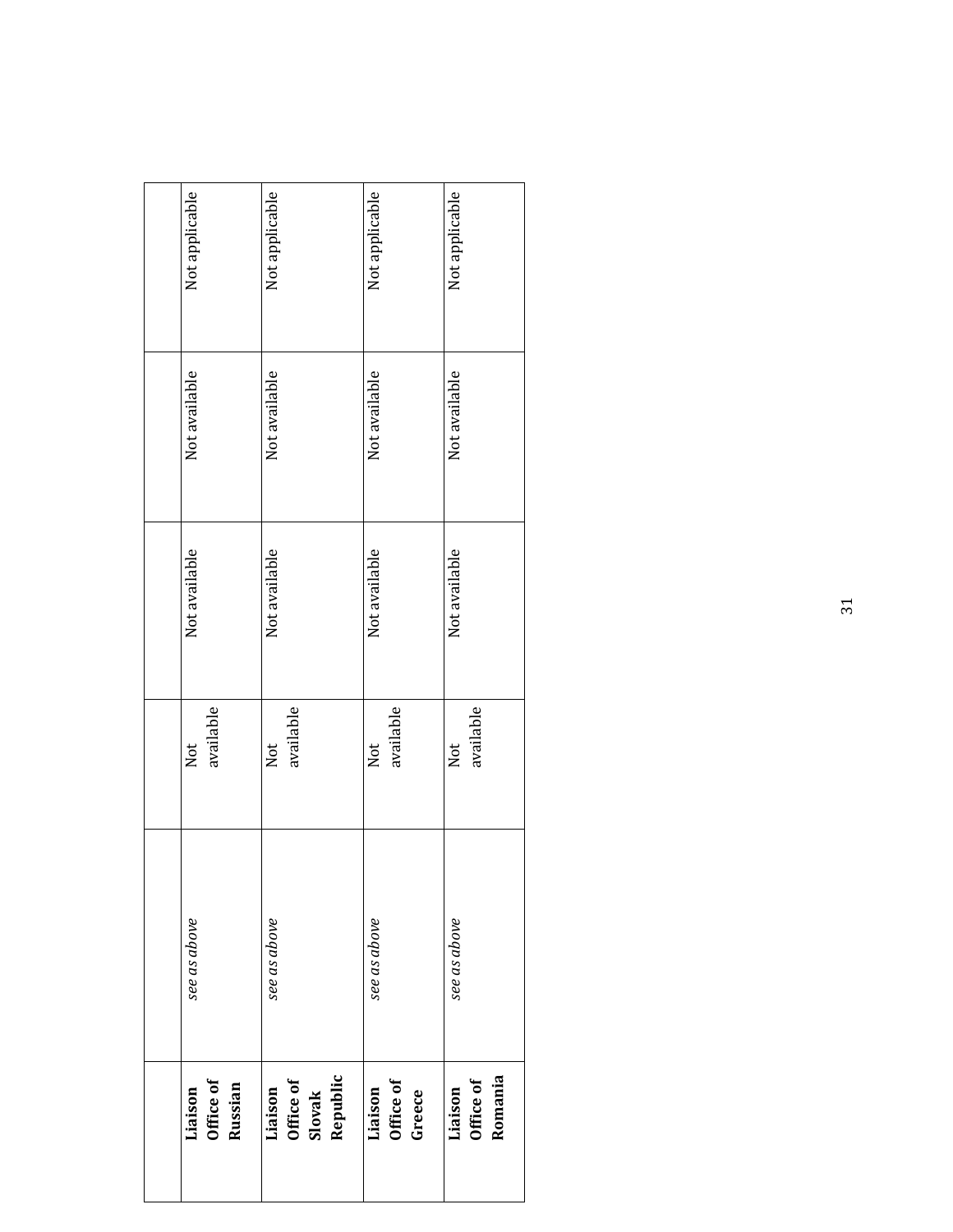| Office of<br>Russian<br>Liaison            | see as above | available<br>Not | Not available | Not available | Not applicable |
|--------------------------------------------|--------------|------------------|---------------|---------------|----------------|
| Republic<br>Office of<br>Liaison<br>Slovak | see as above | available<br>Not | Not available | Not available | Not applicable |
| Office of<br>Liaison<br>Greece             | see as above | available<br>Not | Not available | Not available | Not applicable |
| Romania<br>Office of<br>Liaison            | see as above | available<br>Not | Not available | Not available | Not applicable |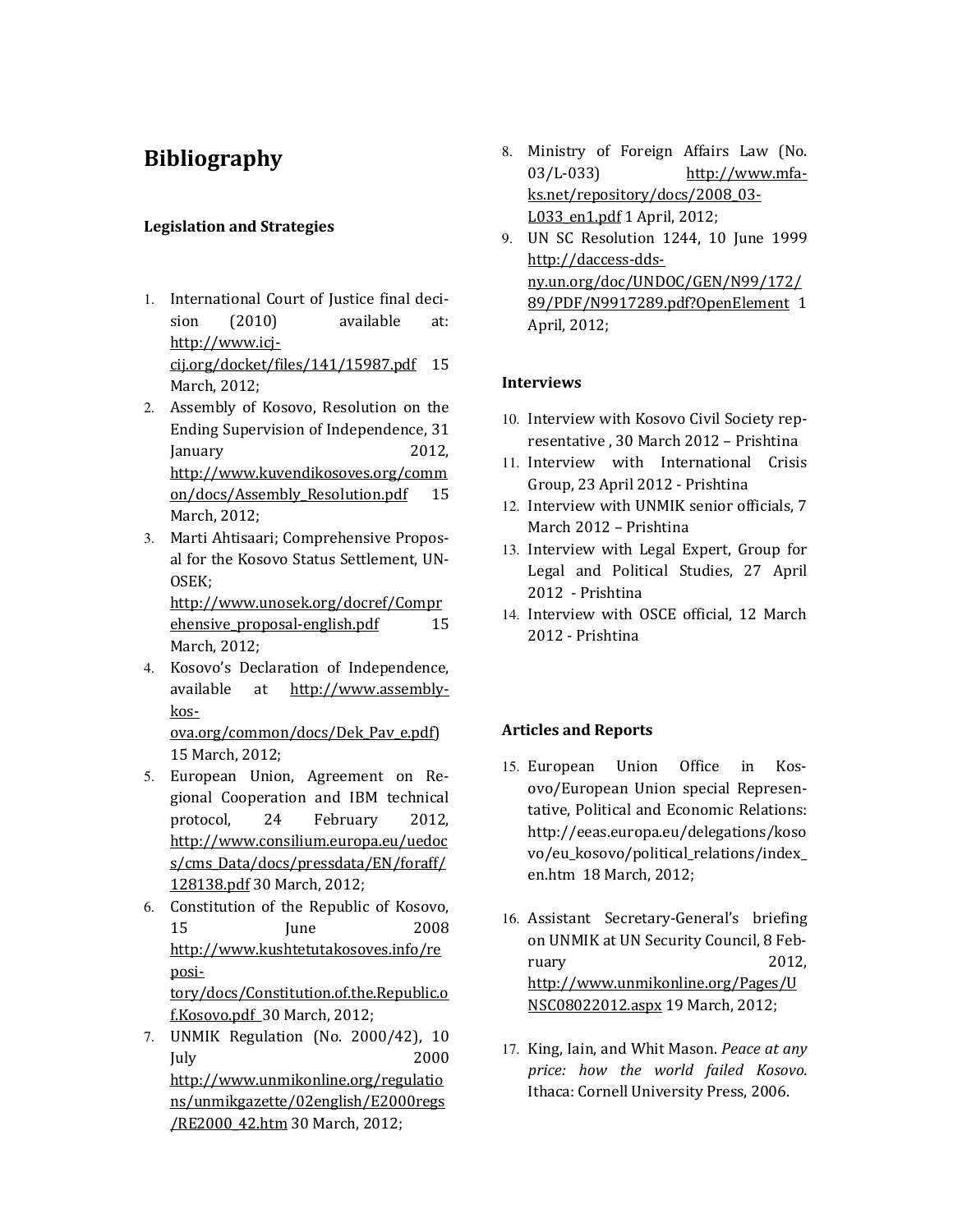### Bibliography

#### Legislation and Strategies

- 1. International Court of Justice final decision (2010) available at: http://www.icjcij.org/docket/files/141/15987.pdf 15 March, 2012;
- 2. Assembly of Kosovo, Resolution on the Ending Supervision of Independence, 31 January 2012, http://www.kuvendikosoves.org/comm on/docs/Assembly\_Resolution.pdf 15 March, 2012;
- 3. Marti Ahtisaari; Comprehensive Proposal for the Kosovo Status Settlement, UN-OSEK;

http://www.unosek.org/docref/Compr ehensive\_proposal-english.pdf 15 March, 2012;

4. Kosovo's Declaration of Independence, available at http://www.assemblykos-

ova.org/common/docs/Dek\_Pav\_e.pdf) 15 March, 2012;

- 5. European Union, Agreement on Regional Cooperation and IBM technical protocol, 24 February 2012, http://www.consilium.europa.eu/uedoc s/cms\_Data/docs/pressdata/EN/foraff/ 128138.pdf 30 March, 2012;
- 6. Constitution of the Republic of Kosovo, 15 June 2008 http://www.kushtetutakosoves.info/re pository/docs/Constitution.of.the.Republic.o f.Kosovo.pdf 30 March, 2012;
- 7. UNMIK Regulation (No. 2000/42), 10 July 2000 http://www.unmikonline.org/regulatio ns/unmikgazette/02english/E2000regs /RE2000\_42.htm 30 March, 2012;
- 8. Ministry of Foreign Affairs Law (No. 03/L-033) http://www.mfaks.net/repository/docs/2008\_03- L033\_en1.pdf 1 April, 2012;
- 9. UN SC Resolution 1244, 10 June 1999 http://daccess-ddsny.un.org/doc/UNDOC/GEN/N99/172/ 89/PDF/N9917289.pdf?OpenElement 1 April, 2012;

#### Interviews

- 10. Interview with Kosovo Civil Society representative , 30 March 2012 – Prishtina
- 11. Interview with International Crisis Group, 23 April 2012 - Prishtina
- 12. Interview with UNMIK senior officials, 7 March 2012 – Prishtina
- 13. Interview with Legal Expert, Group for Legal and Political Studies, 27 April 2012 - Prishtina
- 14. Interview with OSCE official, 12 March 2012 - Prishtina

#### Articles and Reports

- 15. European Union Office in Kosovo/European Union special Representative, Political and Economic Relations: http://eeas.europa.eu/delegations/koso vo/eu\_kosovo/political\_relations/index\_ en.htm 18 March, 2012;
- 16. Assistant Secretary-General's briefing on UNMIK at UN Security Council, 8 February 2012. http://www.unmikonline.org/Pages/U NSC08022012.aspx 19 March, 2012;
- 17. King, Iain, and Whit Mason. Peace at any price: how the world failed Kosovo. Ithaca: Cornell University Press, 2006.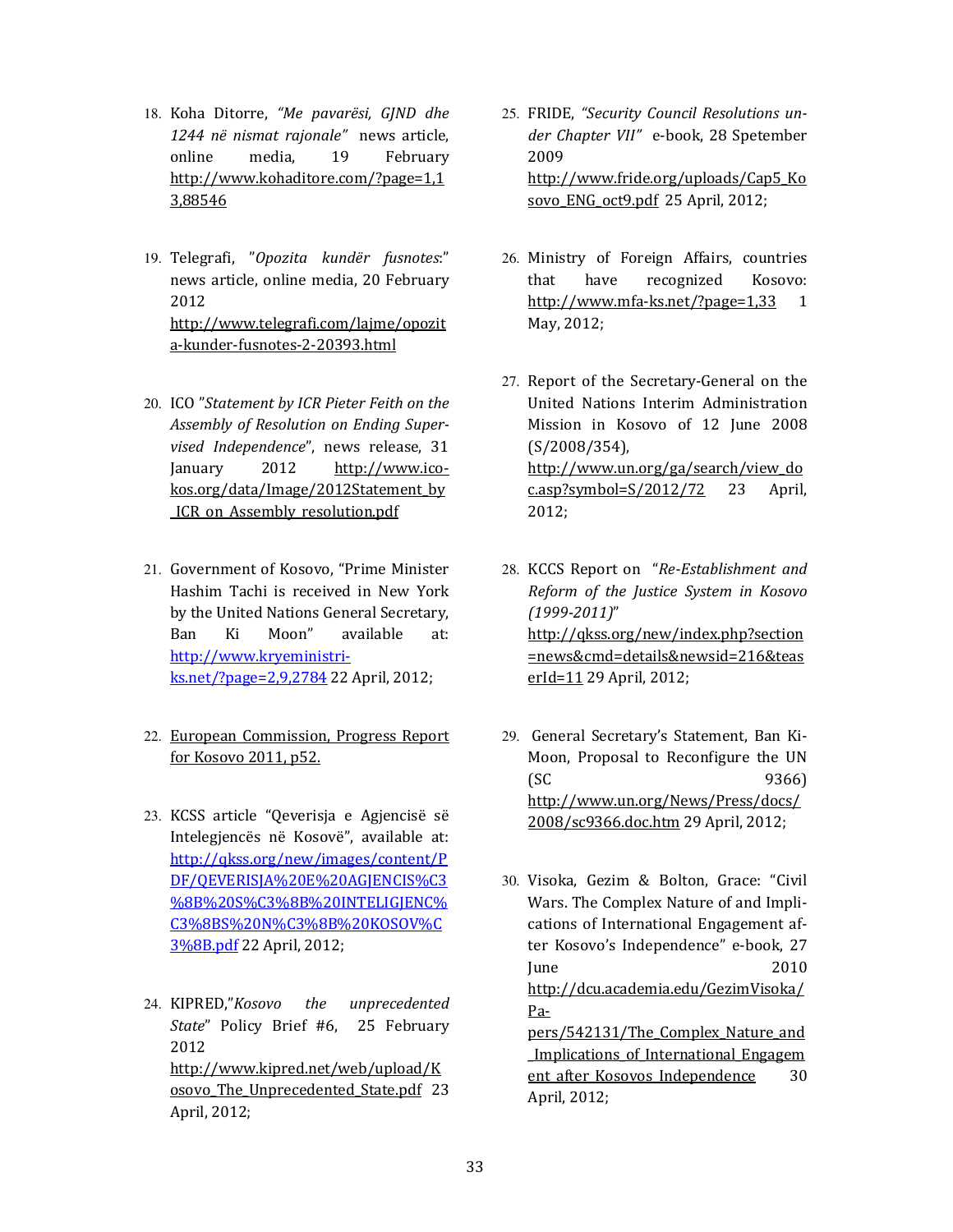- 18. Koha Ditorre, "Me pavarësi, GJND dhe 1244 në nismat rajonale" news article, online media, 19 February http://www.kohaditore.com/?page=1,1 3,88546
- 19. Telegrafi, "Opozita kundër fusnotes:" news article, online media, 20 February 2012 http://www.telegrafi.com/lajme/opozit a-kunder-fusnotes-2-20393.html
- 20. ICO "Statement by ICR Pieter Feith on the Assembly of Resolution on Ending Supervised Independence", news release, 31 January 2012 http://www.icokos.org/data/Image/2012Statement\_by \_ICR\_on\_Assembly\_resolution.pdf
- 21. Government of Kosovo, "Prime Minister Hashim Tachi is received in New York by the United Nations General Secretary, Ban Ki Moon" available at: http://www.kryeministriks.net/?page=2,9,2784 22 April, 2012;
- 22. European Commission, Progress Report for Kosovo 2011, p52.
- 23. KCSS article "Qeverisja e Agjencisë së Intelegjencës në Kosovë", available at: http://qkss.org/new/images/content/P DF/QEVERISJA%20E%20AGJENCIS%C3 %8B%20S%C3%8B%20INTELIGJENC% C3%8BS%20N%C3%8B%20KOSOV%C 3%8B.pdf 22 April, 2012;
- 24. KIPRED,"Kosovo the unprecedented State" Policy Brief #6, 25 February 2012 http://www.kipred.net/web/upload/K osovo\_The\_Unprecedented\_State.pdf 23 April, 2012;
- 25. FRIDE, "Security Council Resolutions under Chapter VII" e-book, 28 Spetember 2009 http://www.fride.org/uploads/Cap5\_Ko sovo\_ENG\_oct9.pdf 25 April, 2012;
- 26. Ministry of Foreign Affairs, countries that have recognized Kosovo: http://www.mfa-ks.net/?page=1,33 1 May, 2012;
- 27. Report of the Secretary-General on the United Nations Interim Administration Mission in Kosovo of 12 June 2008 (S/2008/354), http://www.un.org/ga/search/view\_do c.asp?symbol=S/2012/72 23 April, 2012;
- 28. KCCS Report on "Re-Establishment and Reform of the Justice System in Kosovo (1999-2011)" http://qkss.org/new/index.php?section =news&cmd=details&newsid=216&teas erId=11 29 April, 2012;
- 29. General Secretary's Statement, Ban Ki-Moon, Proposal to Reconfigure the UN (SC 9366) http://www.un.org/News/Press/docs/ 2008/sc9366.doc.htm 29 April, 2012;
- 30. Visoka, Gezim & Bolton, Grace: "Civil Wars. The Complex Nature of and Implications of International Engagement after Kosovo's Independence" e-book, 27 June 2010 http://dcu.academia.edu/GezimVisoka/ Papers/542131/The\_Complex\_Nature\_and \_Implications\_of\_International\_Engagem ent\_after\_Kosovos\_Independence 30

April, 2012;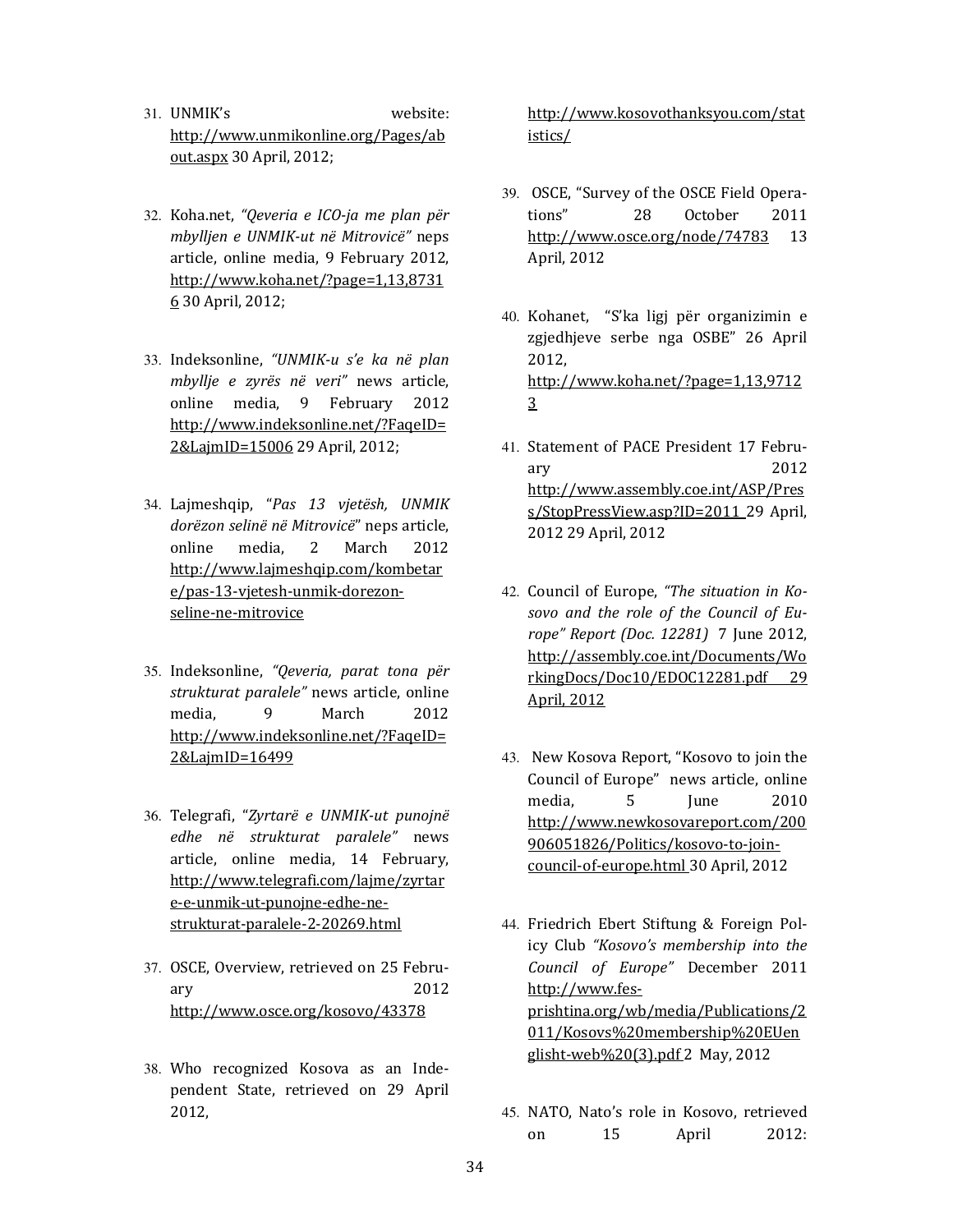- 31. UNMIK's website: http://www.unmikonline.org/Pages/ab out.aspx 30 April, 2012;
- 32. Koha.net, "Qeveria e ICO-ja me plan për mbylljen e UNMIK-ut në Mitrovicë" neps article, online media, 9 February 2012, http://www.koha.net/?page=1,13,8731 6 30 April, 2012;
- 33. Indeksonline, "UNMIK-u s'e ka në plan mbyllje e zyrës në veri" news article, online media, 9 February 2012 http://www.indeksonline.net/?FaqeID= 2&LajmID=15006 29 April, 2012;
- 34. Lajmeshqip, "Pas 13 vjetësh, UNMIK dorëzon selinë në Mitrovicë" neps article, online media, 2 March 2012 http://www.lajmeshqip.com/kombetar e/pas-13-vjetesh-unmik-dorezonseline-ne-mitrovice
- 35. Indeksonline, "Qeveria, parat tona për strukturat paralele" news article, online media, 9 March 2012 http://www.indeksonline.net/?FaqeID= 2&LajmID=16499
- 36. Telegrafi, "Zyrtarë e UNMIK-ut punojnë edhe në strukturat paralele" news article, online media, 14 February, http://www.telegrafi.com/lajme/zyrtar e-e-unmik-ut-punojne-edhe-nestrukturat-paralele-2-20269.html
- 37. OSCE, Overview, retrieved on 25 February 2012 http://www.osce.org/kosovo/43378
- 38. Who recognized Kosova as an Independent State, retrieved on 29 April 2012,

http://www.kosovothanksyou.com/stat istics/

- 39. OSCE, "Survey of the OSCE Field Operations" 28 October 2011 http://www.osce.org/node/74783 13 April, 2012
- 40. Kohanet, "S'ka ligj për organizimin e zgjedhjeve serbe nga OSBE" 26 April 2012, http://www.koha.net/?page=1,13,9712 3
- 41. Statement of PACE President 17 February 2012 http://www.assembly.coe.int/ASP/Pres s/StopPressView.asp?ID=2011 29 April, 2012 29 April, 2012
- 42. Council of Europe, "The situation in Kosovo and the role of the Council of Europe" Report (Doc. 12281) 7 June 2012, http://assembly.coe.int/Documents/Wo rkingDocs/Doc10/EDOC12281.pdf 29 April, 2012
- 43. New Kosova Report, "Kosovo to join the Council of Europe" news article, online media. 5 Iune 2010 http://www.newkosovareport.com/200 906051826/Politics/kosovo-to-joincouncil-of-europe.html 30 April, 2012
- 44. Friedrich Ebert Stiftung & Foreign Policy Club "Kosovo's membership into the Council of Europe" December 2011 http://www.fesprishtina.org/wb/media/Publications/2 011/Kosovs%20membership%20EUen glisht-web%20(3).pdf 2 May, 2012
- 45. NATO, Nato's role in Kosovo, retrieved on 15 April 2012: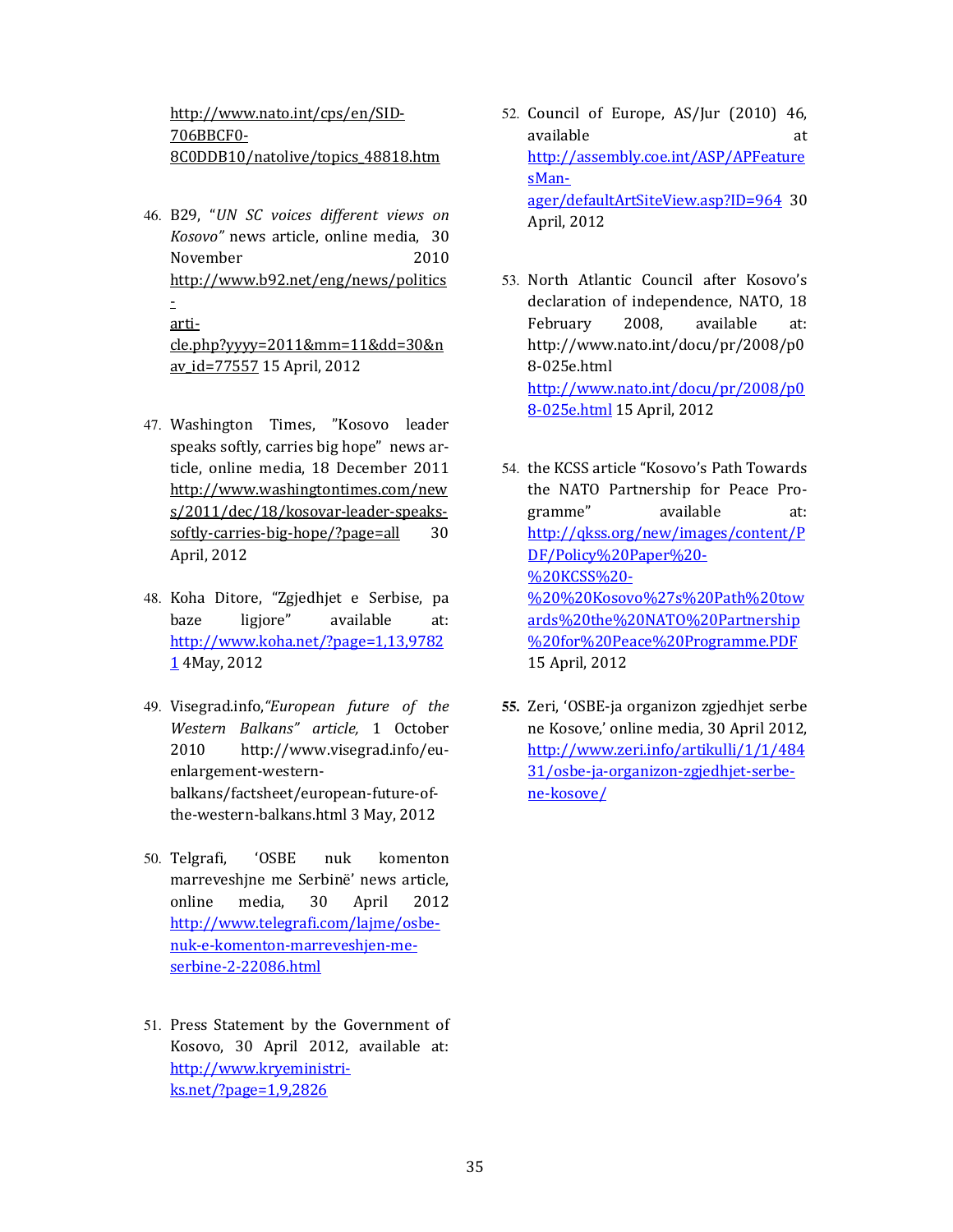http://www.nato.int/cps/en/SID-706BBCF0- 8C0DDB10/natolive/topics\_48818.htm

46. B29, "UN SC voices different views on Kosovo" news article, online media, 30 November 2010 http://www.b92.net/eng/news/politics

arti-

-

cle.php?yyyy=2011&mm=11&dd=30&n av\_id=77557 15 April, 2012

- 47. Washington Times, "Kosovo leader speaks softly, carries big hope" news article, online media, 18 December 2011 http://www.washingtontimes.com/new s/2011/dec/18/kosovar-leader-speakssoftly-carries-big-hope/?page=all 30 April, 2012
- 48. Koha Ditore, "Zgjedhjet e Serbise, pa baze ligjore" available at: http://www.koha.net/?page=1,13,9782 1 4May, 2012
- 49. Visegrad.info,"European future of the Western Balkans" article, 1 October 2010 http://www.visegrad.info/euenlargement-westernbalkans/factsheet/european-future-ofthe-western-balkans.html 3 May, 2012
- 50. Telgrafi, 'OSBE nuk komenton marreveshjne me Serbinë' news article, online media, 30 April 2012 http://www.telegrafi.com/lajme/osbenuk-e-komenton-marreveshjen-meserbine-2-22086.html
- 51. Press Statement by the Government of Kosovo, 30 April 2012, available at: http://www.kryeministriks.net/?page=1,9,2826
- 52. Council of Europe, AS/Jur (2010) 46, available at a state at a state at a state at a state at a state at a state at a state at a state at a state a http://assembly.coe.int/ASP/APFeature sManager/defaultArtSiteView.asp?ID=964 30 April, 2012
- 53. North Atlantic Council after Kosovo's declaration of independence, NATO, 18 February 2008, available at: http://www.nato.int/docu/pr/2008/p0 8-025e.html http://www.nato.int/docu/pr/2008/p0 8-025e.html 15 April, 2012
- 54. the KCSS article "Kosovo's Path Towards the NATO Partnership for Peace Programme" available at: http://qkss.org/new/images/content/P DF/Policy%20Paper%20- %20KCSS%20- %20%20Kosovo%27s%20Path%20tow ards%20the%20NATO%20Partnership %20for%20Peace%20Programme.PDF 15 April, 2012
- **55.** Zeri, 'OSBE-ja organizon zgjedhjet serbe ne Kosove,' online media, 30 April 2012, http://www.zeri.info/artikulli/1/1/484 31/osbe-ja-organizon-zgjedhjet-serbene-kosove/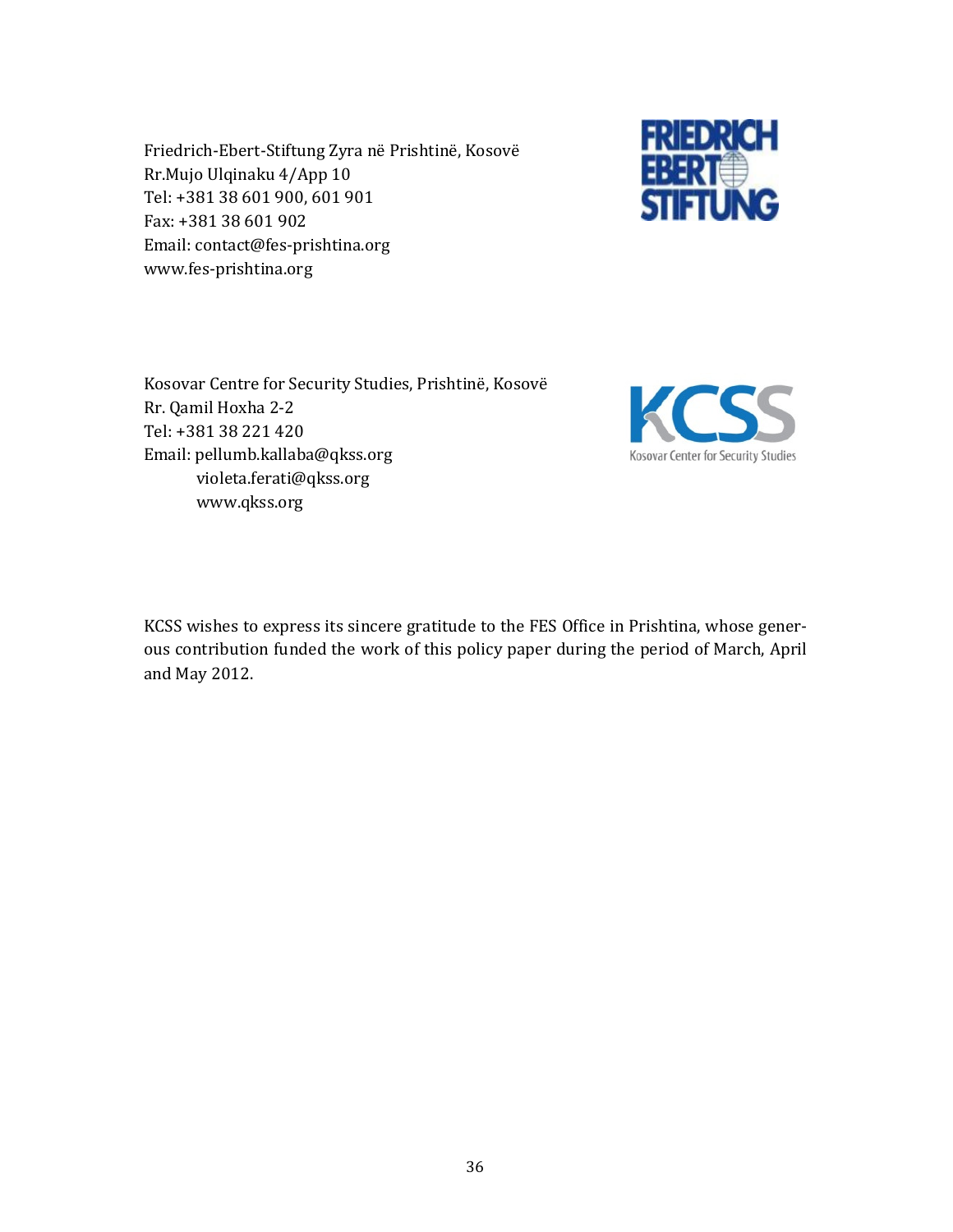Friedrich-Ebert-Stiftung Zyra në Prishtinë, Kosovë Rr.Mujo Ulqinaku 4/App 10 Tel: +381 38 601 900, 601 901 Fax: +381 38 601 902 Email: contact@fes-prishtina.org www.fes-prishtina.org



Kosovar Centre for Security Studies, Prishtinë, Kosovë Rr. Qamil Hoxha 2-2 Tel: +381 38 221 420 Email: pellumb.kallaba@qkss.org violeta.ferati@qkss.org www.qkss.org



KCSS wishes to express its sincere gratitude to the FES Office in Prishtina, whose generous contribution funded the work of this policy paper during the period of March, April and May 2012.